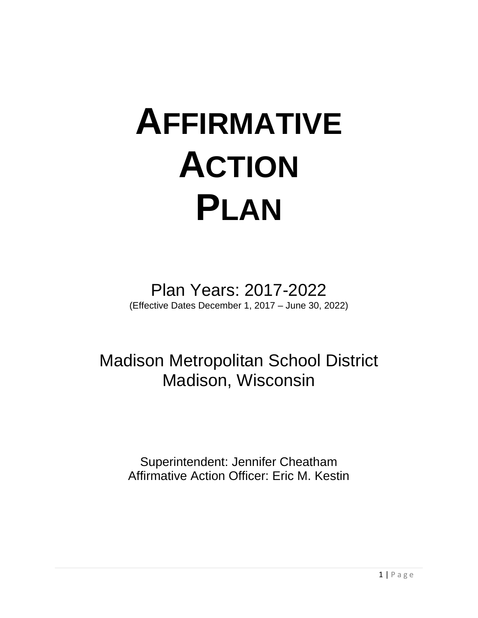# **AFFIRMATIVE ACTION PLAN**

Plan Years: 2017-2022 (Effective Dates December 1, 2017 – June 30, 2022)

Madison Metropolitan School District Madison, Wisconsin

> Superintendent: Jennifer Cheatham Affirmative Action Officer: Eric M. Kestin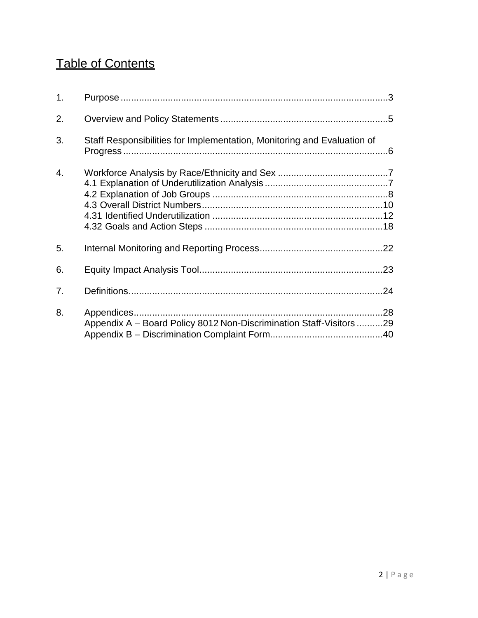### Table of Contents

| 1. |                                                                         |  |
|----|-------------------------------------------------------------------------|--|
| 2. |                                                                         |  |
| 3. | Staff Responsibilities for Implementation, Monitoring and Evaluation of |  |
| 4. |                                                                         |  |
| 5. |                                                                         |  |
| 6. |                                                                         |  |
| 7. |                                                                         |  |
| 8. | Appendix A - Board Policy 8012 Non-Discrimination Staff-Visitors 29     |  |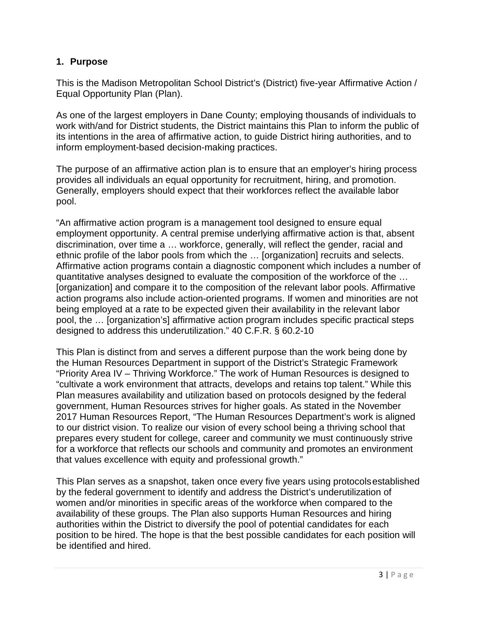### <span id="page-2-0"></span>**1. Purpose**

This is the Madison Metropolitan School District's (District) five-year Affirmative Action / Equal Opportunity Plan (Plan).

As one of the largest employers in Dane County; employing thousands of individuals to work with/and for District students, the District maintains this Plan to inform the public of its intentions in the area of affirmative action, to guide District hiring authorities, and to inform employment-based decision-making practices.

The purpose of an affirmative action plan is to ensure that an employer's hiring process provides all individuals an equal opportunity for recruitment, hiring, and promotion. Generally, employers should expect that their workforces reflect the available labor pool.

"An affirmative action program is a management tool designed to ensure equal employment opportunity. A central premise underlying affirmative action is that, absent discrimination, over time a … workforce, generally, will reflect the gender, racial and ethnic profile of the labor pools from which the … [organization] recruits and selects. Affirmative action programs contain a diagnostic component which includes a number of quantitative analyses designed to evaluate the composition of the workforce of the … [organization] and compare it to the composition of the relevant labor pools. Affirmative action programs also include action-oriented programs. If women and minorities are not being employed at a rate to be expected given their availability in the relevant labor pool, the … [organization's] affirmative action program includes specific practical steps designed to address this underutilization." 40 C.F.R. § 60.2-10

This Plan is distinct from and serves a different purpose than the work being done by the Human Resources Department in support of the District's Strategic Framework "Priority Area IV – Thriving Workforce." The work of Human Resources is designed to "cultivate a work environment that attracts, develops and retains top talent." While this Plan measures availability and utilization based on protocols designed by the federal government, Human Resources strives for higher goals. As stated in the November 2017 Human Resources Report, "The Human Resources Department's work is aligned to our district vision. To realize our vision of every school being a thriving school that prepares every student for college, career and community we must continuously strive for a workforce that reflects our schools and community and promotes an environment that values excellence with equity and professional growth."

This Plan serves as a snapshot, taken once every five years using protocolsestablished by the federal government to identify and address the District's underutilization of women and/or minorities in specific areas of the workforce when compared to the availability of these groups. The Plan also supports Human Resources and hiring authorities within the District to diversify the pool of potential candidates for each position to be hired. The hope is that the best possible candidates for each position will be identified and hired.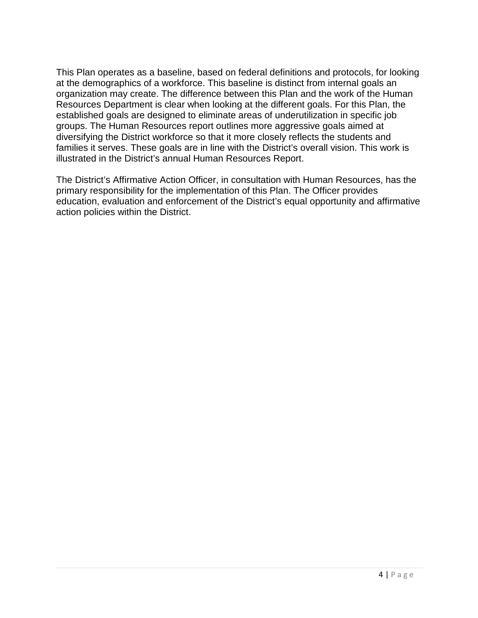This Plan operates as a baseline, based on federal definitions and protocols, for looking at the demographics of a workforce. This baseline is distinct from internal goals an organization may create. The difference between this Plan and the work of the Human Resources Department is clear when looking at the different goals. For this Plan, the established goals are designed to eliminate areas of underutilization in specific job groups. The Human Resources report outlines more aggressive goals aimed at diversifying the District workforce so that it more closely reflects the students and families it serves. These goals are in line with the District's overall vision. This work is illustrated in the District's annual Human Resources Report.

The District's Affirmative Action Officer, in consultation with Human Resources, has the primary responsibility for the implementation of this Plan. The Officer provides education, evaluation and enforcement of the District's equal opportunity and affirmative action policies within the District.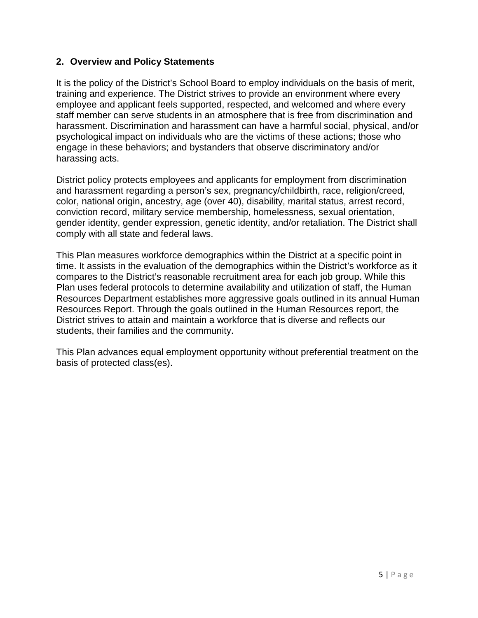### <span id="page-4-0"></span>**2. Overview and Policy Statements**

It is the policy of the District's School Board to employ individuals on the basis of merit, training and experience. The District strives to provide an environment where every employee and applicant feels supported, respected, and welcomed and where every staff member can serve students in an atmosphere that is free from discrimination and harassment. Discrimination and harassment can have a harmful social, physical, and/or psychological impact on individuals who are the victims of these actions; those who engage in these behaviors; and bystanders that observe discriminatory and/or harassing acts.

District policy protects employees and applicants for employment from discrimination and harassment regarding a person's sex, pregnancy/childbirth, race, religion/creed, color, national origin, ancestry, age (over 40), disability, marital status, arrest record, conviction record, military service membership, homelessness, sexual orientation, gender identity, gender expression, genetic identity, and/or retaliation. The District shall comply with all state and federal laws.

This Plan measures workforce demographics within the District at a specific point in time. It assists in the evaluation of the demographics within the District's workforce as it compares to the District's reasonable recruitment area for each job group. While this Plan uses federal protocols to determine availability and utilization of staff, the Human Resources Department establishes more aggressive goals outlined in its annual Human Resources Report. Through the goals outlined in the Human Resources report, the District strives to attain and maintain a workforce that is diverse and reflects our students, their families and the community.

This Plan advances equal employment opportunity without preferential treatment on the basis of protected class(es).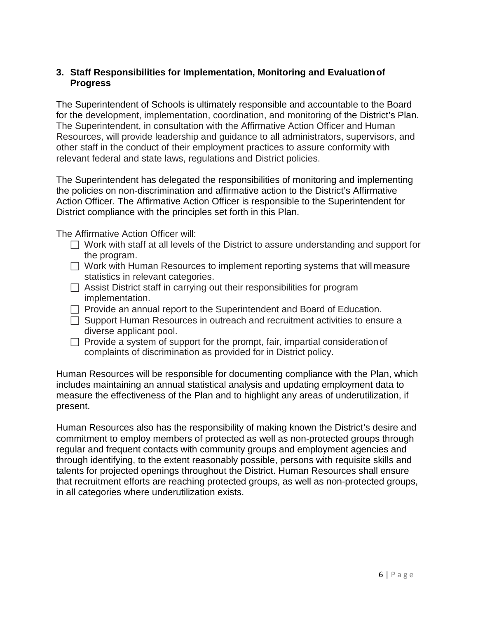### <span id="page-5-0"></span>**3. Staff Responsibilities for Implementation, Monitoring and Evaluationof Progress**

The Superintendent of Schools is ultimately responsible and accountable to the Board for the development, implementation, coordination, and monitoring of the District's Plan. The Superintendent, in consultation with the Affirmative Action Officer and Human Resources, will provide leadership and guidance to all administrators, supervisors, and other staff in the conduct of their employment practices to assure conformity with relevant federal and state laws, regulations and District policies.

The Superintendent has delegated the responsibilities of monitoring and implementing the policies on non-discrimination and affirmative action to the District's Affirmative Action Officer. The Affirmative Action Officer is responsible to the Superintendent for District compliance with the principles set forth in this Plan.

The Affirmative Action Officer will:

- $\Box$  Work with staff at all levels of the District to assure understanding and support for the program.
- $\Box$  Work with Human Resources to implement reporting systems that will measure statistics in relevant categories.
- $\Box$  Assist District staff in carrying out their responsibilities for program implementation.
- $\Box$  Provide an annual report to the Superintendent and Board of Education.
- $\Box$  Support Human Resources in outreach and recruitment activities to ensure a diverse applicant pool.
- $\Box$  Provide a system of support for the prompt, fair, impartial consideration of complaints of discrimination as provided for in District policy.

Human Resources will be responsible for documenting compliance with the Plan, which includes maintaining an annual statistical analysis and updating employment data to measure the effectiveness of the Plan and to highlight any areas of underutilization, if present.

Human Resources also has the responsibility of making known the District's desire and commitment to employ members of protected as well as non-protected groups through regular and frequent contacts with community groups and employment agencies and through identifying, to the extent reasonably possible, persons with requisite skills and talents for projected openings throughout the District. Human Resources shall ensure that recruitment efforts are reaching protected groups, as well as non-protected groups, in all categories where underutilization exists.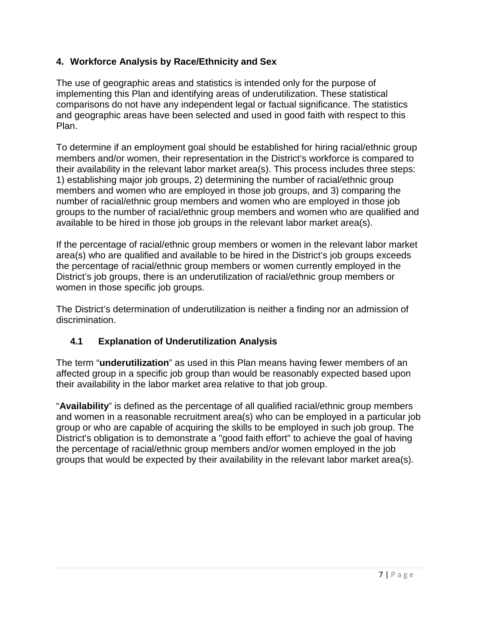### <span id="page-6-0"></span>**4. Workforce Analysis by Race/Ethnicity and Sex**

The use of geographic areas and statistics is intended only for the purpose of implementing this Plan and identifying areas of underutilization. These statistical comparisons do not have any independent legal or factual significance. The statistics and geographic areas have been selected and used in good faith with respect to this Plan.

To determine if an employment goal should be established for hiring racial/ethnic group members and/or women, their representation in the District's workforce is compared to their availability in the relevant labor market area(s). This process includes three steps: 1) establishing major job groups, 2) determining the number of racial/ethnic group members and women who are employed in those job groups, and 3) comparing the number of racial/ethnic group members and women who are employed in those job groups to the number of racial/ethnic group members and women who are qualified and available to be hired in those job groups in the relevant labor market area(s).

If the percentage of racial/ethnic group members or women in the relevant labor market area(s) who are qualified and available to be hired in the District's job groups exceeds the percentage of racial/ethnic group members or women currently employed in the District's job groups, there is an underutilization of racial/ethnic group members or women in those specific job groups.

The District's determination of underutilization is neither a finding nor an admission of discrimination.

### **4.1 Explanation of Underutilization Analysis**

<span id="page-6-1"></span>The term "**underutilization**" as used in this Plan means having fewer members of an affected group in a specific job group than would be reasonably expected based upon their availability in the labor market area relative to that job group.

"**Availability**" is defined as the percentage of all qualified racial/ethnic group members and women in a reasonable recruitment area(s) who can be employed in a particular job group or who are capable of acquiring the skills to be employed in such job group. The District's obligation is to demonstrate a "good faith effort" to achieve the goal of having the percentage of racial/ethnic group members and/or women employed in the job groups that would be expected by their availability in the relevant labor market area(s).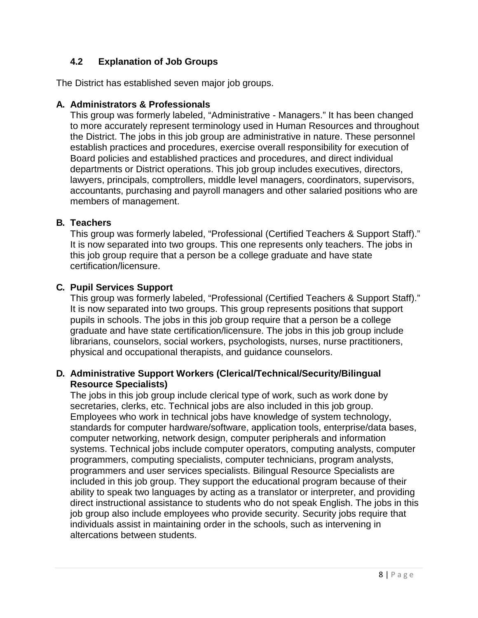### **4.2 Explanation of Job Groups**

<span id="page-7-0"></span>The District has established seven major job groups.

### **A. Administrators & Professionals**

This group was formerly labeled, "Administrative - Managers." It has been changed to more accurately represent terminology used in Human Resources and throughout the District. The jobs in this job group are administrative in nature. These personnel establish practices and procedures, exercise overall responsibility for execution of Board policies and established practices and procedures, and direct individual departments or District operations. This job group includes executives, directors, lawyers, principals, comptrollers, middle level managers, coordinators, supervisors, accountants, purchasing and payroll managers and other salaried positions who are members of management.

### **B. Teachers**

This group was formerly labeled, "Professional (Certified Teachers & Support Staff)." It is now separated into two groups. This one represents only teachers. The jobs in this job group require that a person be a college graduate and have state certification/licensure.

### **C. Pupil Services Support**

This group was formerly labeled, "Professional (Certified Teachers & Support Staff)." It is now separated into two groups. This group represents positions that support pupils in schools. The jobs in this job group require that a person be a college graduate and have state certification/licensure. The jobs in this job group include librarians, counselors, social workers, psychologists, nurses, nurse practitioners, physical and occupational therapists, and guidance counselors.

### **D. Administrative Support Workers (Clerical/Technical/Security/Bilingual Resource Specialists)**

The jobs in this job group include clerical type of work, such as work done by secretaries, clerks, etc. Technical jobs are also included in this job group. Employees who work in technical jobs have knowledge of system technology, standards for computer hardware/software, application tools, enterprise/data bases, computer networking, network design, computer peripherals and information systems. Technical jobs include computer operators, computing analysts, computer programmers, computing specialists, computer technicians, program analysts, programmers and user services specialists. Bilingual Resource Specialists are included in this job group. They support the educational program because of their ability to speak two languages by acting as a translator or interpreter, and providing direct instructional assistance to students who do not speak English. The jobs in this job group also include employees who provide security. Security jobs require that individuals assist in maintaining order in the schools, such as intervening in altercations between students.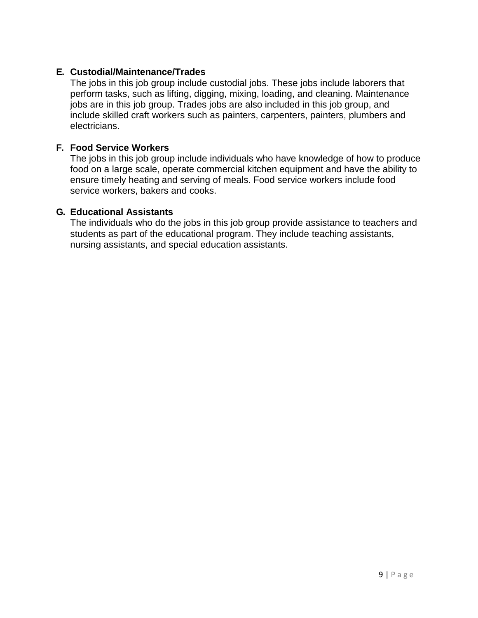### **E. Custodial/Maintenance/Trades**

The jobs in this job group include custodial jobs. These jobs include laborers that perform tasks, such as lifting, digging, mixing, loading, and cleaning. Maintenance jobs are in this job group. Trades jobs are also included in this job group, and include skilled craft workers such as painters, carpenters, painters, plumbers and electricians.

### **F. Food Service Workers**

The jobs in this job group include individuals who have knowledge of how to produce food on a large scale, operate commercial kitchen equipment and have the ability to ensure timely heating and serving of meals. Food service workers include food service workers, bakers and cooks.

### **G. Educational Assistants**

The individuals who do the jobs in this job group provide assistance to teachers and students as part of the educational program. They include teaching assistants, nursing assistants, and special education assistants.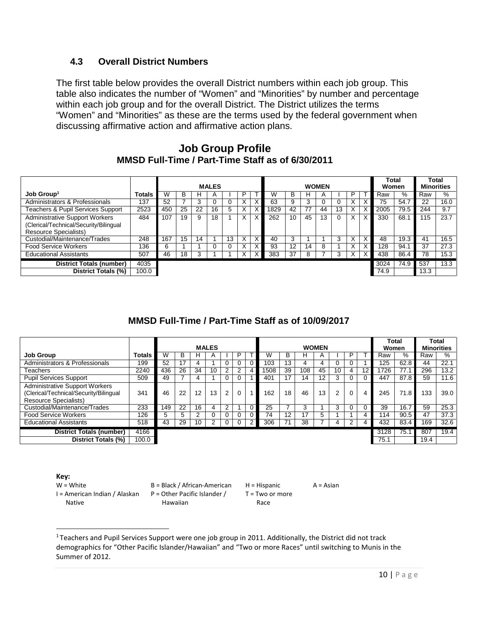### **4.3 Overall District Numbers**

<span id="page-9-0"></span>The first table below provides the overall District numbers within each job group. This table also indicates the number of "Women" and "Minorities" by number and percentage within each job group and for the overall District. The District utilizes the terms "Women" and "Minorities" as these are the terms used by the federal government when discussing affirmative action and affirmative action plans.

### **Job Group Profile MMSD Full-Time / Part-Time Staff as of 6/30/2011**

|                                                                                                                 |        |     | <b>MALES</b><br><b>WOMEN</b> |    |              |    | Total<br>Women |              | <b>Total</b><br><b>Minorities</b> |                 |    |              |    |    |   |      |      |      |      |
|-----------------------------------------------------------------------------------------------------------------|--------|-----|------------------------------|----|--------------|----|----------------|--------------|-----------------------------------|-----------------|----|--------------|----|----|---|------|------|------|------|
| $Job$ Group <sup>1</sup>                                                                                        | Totals | W   | в                            | н  | $\mathsf{A}$ |    |                |              |                                   | B               | н  | $\mathsf{A}$ |    | P  |   | Raw  | %    | Raw  | %    |
| Administrators & Professionals                                                                                  | 137    | 52  |                              |    |              |    | v              |              | 63                                | 9               | 3  |              |    |    |   | 75   | 54.7 | 22   | 16.0 |
| Teachers & Pupil Services Support                                                                               | 2523   | 450 | 25                           | 22 | 16           | 5  | ⋏              | $\checkmark$ | 1829                              | 42              | 77 | 44           | 13 | ∧  |   | 2005 | 79.5 | 244  | 9.7  |
| <b>Administrative Support Workers</b><br>(Clerical/Technical/Security/Bilingual<br><b>Resource Specialists)</b> | 484    | 107 | 19                           | 9  | 18           |    | X              |              | 262                               | 10 <sup>1</sup> | 45 | 13           |    |    | Χ | 330  | 68.1 | 15   | 23.7 |
| Custodial/Maintenance/Trades                                                                                    | 248    | 167 | 15                           | 14 |              | 13 |                | $\lambda$    | 40                                | 3               |    |              | 3  | л. |   | 48   | 19.3 | 41   | 16.5 |
| <b>Food Service Workers</b>                                                                                     | 136    | 6   |                              |    |              |    |                |              | 93                                | 12              | 14 | 8            |    |    |   | 28   | 94.1 | 37   | 27.3 |
| <b>Educational Assistants</b>                                                                                   | 507    | 46  | 18                           | 3  |              |    | ⋏              |              | 383                               | 37              | 8  |              | 3  | X. |   | 438  | 86.4 | 78   | 15.3 |
| <b>District Totals (number)</b>                                                                                 | 4035   |     |                              |    |              |    |                |              |                                   |                 |    |              |    |    |   | 3024 | 74.9 | 537  | 13.3 |
| District Totals (%)                                                                                             | 100.0  |     |                              |    |              |    |                |              |                                   |                 |    |              |    |    |   | 74.9 |      | 13.3 |      |

### **MMSD Full-Time / Part-Time Staff as of 10/09/2017**

|                                                                                                                 |               |     | <b>MALES</b>    |    |              |                | <b>WOMEN</b> |                 |     |     |                  | Total<br>Women |   | Total<br><b>Minorities</b> |      |      |      |      |
|-----------------------------------------------------------------------------------------------------------------|---------------|-----|-----------------|----|--------------|----------------|--------------|-----------------|-----|-----|------------------|----------------|---|----------------------------|------|------|------|------|
| <b>Job Group</b>                                                                                                | <b>Totals</b> | W   | ь               | н  | $\mathsf{A}$ |                |              |                 | ь   | H   |                  |                |   |                            | Raw  | $\%$ | Raw  | ℅    |
| Administrators & Professionals                                                                                  | 199           | 52  | 17              |    |              | $\Omega$       |              | 103             | ١3  |     |                  |                |   |                            | 125  | 62.8 | 44   | 22.1 |
| Teachers                                                                                                        | 2240          | 436 | 26              | 34 | 10           | 2              |              | 1508            | 39  | 108 | 45               | 10             | 4 | 12                         | 1726 | 77.1 | 296  | 13.2 |
| <b>Pupil Services Support</b>                                                                                   | 509           | 49  |                 |    |              | $\Omega$       |              | 40 <sup>4</sup> | 17  | 14  |                  |                |   |                            | 447  | 87.8 | 59   | 11.6 |
| <b>Administrative Support Workers</b><br>(Clerical/Technical/Security/Bilingual<br><b>Resource Specialists)</b> | 341           | 46  | 22              | 12 | 13           | $\overline{2}$ |              | 162             | 18  | 46  | 13 <sup>13</sup> | 2              | 0 | 4                          | 245  | 71.8 | 133  | 39.0 |
| Custodial/Maintenance/Trades                                                                                    | 233           | 149 | $2\overline{2}$ | 16 | 4            | $\overline{2}$ |              | 25              |     |     |                  | 3              |   |                            | 39   | 16.7 | 59   | 25.3 |
| <b>Food Service Workers</b>                                                                                     | 126           | 5.  | 5               | r  | υ            | U              |              | 74              | 12. |     | 5.               |                |   |                            | 14   | 90.5 | 47   | 37.3 |
| <b>Educational Assistants</b>                                                                                   | 518           | 43  | 29              | 10 | 2            | 0              |              | 306             |     | 38  |                  | 4              | 2 |                            | 432  | 83.4 | 169  | 32.6 |
| <b>District Totals (number)</b>                                                                                 | 4166          |     |                 |    |              |                |              |                 |     |     |                  |                |   |                            | 3128 | 75.1 | 807  | 19.4 |
| District Totals (%)                                                                                             | 100.0         |     |                 |    |              |                |              |                 |     |     |                  |                |   |                            | 75.1 |      | 19.4 |      |

#### **Key:**

I = American Indian / Alaskan P = Other Pacific Islander / Native

W = White B = Black / African-American H = Hispanic A = Asian Hawaiian

T = Two or more

Race

<span id="page-9-1"></span><sup>1</sup> Teachers and Pupil Services Support were one job group in 2011. Additionally, the District did not track demographics for "Other Pacific Islander/Hawaiian" and "Two or more Races" until switching to Munis in the Summer of 2012.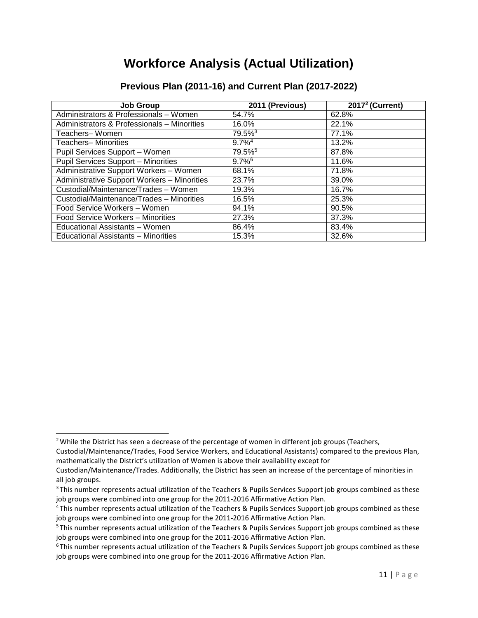### **Workforce Analysis (Actual Utilization)**

| <b>Job Group</b>                            | 2011 (Previous)       | $20172$ (Current) |
|---------------------------------------------|-----------------------|-------------------|
| Administrators & Professionals - Women      | 54.7%                 | 62.8%             |
| Administrators & Professionals - Minorities | 16.0%                 | 22.1%             |
| Teachers-Women                              | $79.5\%$ <sup>3</sup> | 77.1%             |
| Teachers- Minorities                        | $9.7\%$ <sup>4</sup>  | 13.2%             |
| Pupil Services Support - Women              | $79.5\%$ <sup>5</sup> | 87.8%             |
| <b>Pupil Services Support - Minorities</b>  | $9.7\%$ <sup>6</sup>  | 11.6%             |
| Administrative Support Workers - Women      | 68.1%                 | 71.8%             |
| Administrative Support Workers - Minorities | 23.7%                 | 39.0%             |
| Custodial/Maintenance/Trades - Women        | 19.3%                 | 16.7%             |
| Custodial/Maintenance/Trades - Minorities   | 16.5%                 | 25.3%             |
| Food Service Workers - Women                | 94.1%                 | 90.5%             |
| Food Service Workers - Minorities           | 27.3%                 | 37.3%             |
| Educational Assistants - Women              | 86.4%                 | 83.4%             |
| Educational Assistants - Minorities         | 15.3%                 | 32.6%             |

### **Previous Plan (2011-16) and Current Plan (2017-2022)**

<span id="page-10-0"></span><sup>&</sup>lt;sup>2</sup> While the District has seen a decrease of the percentage of women in different job groups (Teachers, Custodial/Maintenance/Trades, Food Service Workers, and Educational Assistants) compared to the previous Plan, mathematically the District's utilization of Women is above their availability except for

Custodian/Maintenance/Trades. Additionally, the District has seen an increase of the percentage of minorities in all job groups.

<span id="page-10-1"></span><sup>&</sup>lt;sup>3</sup> This number represents actual utilization of the Teachers & Pupils Services Support job groups combined as these job groups were combined into one group for the 2011-2016 Affirmative Action Plan.

<span id="page-10-2"></span><sup>4</sup> This number represents actual utilization of the Teachers & Pupils Services Support job groups combined as these job groups were combined into one group for the 2011-2016 Affirmative Action Plan.

<span id="page-10-3"></span><sup>&</sup>lt;sup>5</sup> This number represents actual utilization of the Teachers & Pupils Services Support job groups combined as these job groups were combined into one group for the 2011-2016 Affirmative Action Plan.

<span id="page-10-4"></span> $6$ This number represents actual utilization of the Teachers & Pupils Services Support job groups combined as these job groups were combined into one group for the 2011-2016 Affirmative Action Plan.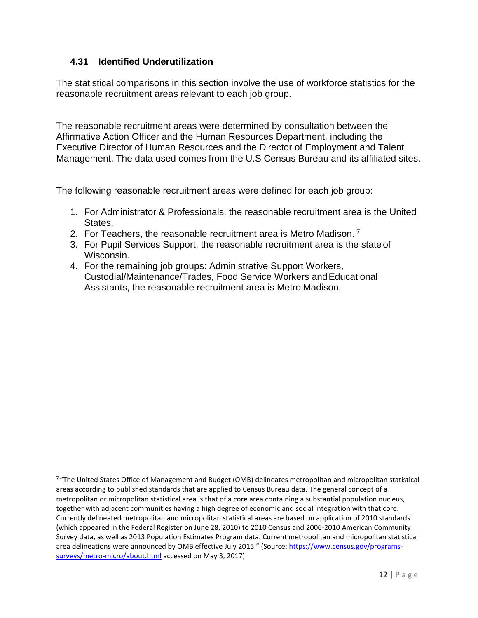### **4.31 Identified Underutilization**

<span id="page-11-0"></span>The statistical comparisons in this section involve the use of workforce statistics for the reasonable recruitment areas relevant to each job group.

The reasonable recruitment areas were determined by consultation between the Affirmative Action Officer and the Human Resources Department, including the Executive Director of Human Resources and the Director of Employment and Talent Management. The data used comes from the U.S Census Bureau and its affiliated sites.

The following reasonable recruitment areas were defined for each job group:

- 1. For Administrator & Professionals, the reasonable recruitment area is the United States.
- 2. For Teachers, the reasonable recruitment area is Metro Madison.<sup>[7](#page-11-1)</sup>
- 3. For Pupil Services Support, the reasonable recruitment area is the state of Wisconsin.
- 4. For the remaining job groups: Administrative Support Workers, Custodial/Maintenance/Trades, Food Service Workers andEducational Assistants, the reasonable recruitment area is Metro Madison.

<span id="page-11-1"></span> $7$  "The United States Office of Management and Budget (OMB) delineates metropolitan and micropolitan statistical areas according to published standards that are applied to Census Bureau data. The general concept of a metropolitan or micropolitan statistical area is that of a core area containing a substantial population nucleus, together with adjacent communities having a high degree of economic and social integration with that core. Currently delineated metropolitan and micropolitan statistical areas are based on application of 2010 standards (which appeared in the Federal Register on June 28, 2010) to 2010 Census and 2006-2010 American Community Survey data, as well as 2013 Population Estimates Program data. Current metropolitan and micropolitan statistical area delineations were announced by OMB effective July 2015." (Source[: https://www.census.gov/programs](https://www.census.gov/programs-surveys/metro-micro/about.html)[surveys/metro-micro/about.html](https://www.census.gov/programs-surveys/metro-micro/about.html) accessed on May 3, 2017)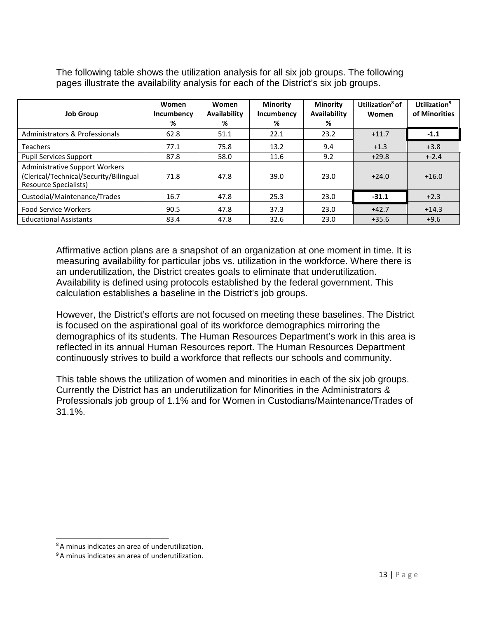| <b>Job Group</b>                                                                                         | Women<br>Incumbency<br>% | <b>Women</b><br><b>Availability</b><br>% | <b>Minority</b><br>Incumbency<br>% | <b>Minority</b><br>Availability<br>% | Utilization <sup>8</sup> of<br>Women | Utilization <sup>9</sup><br>of Minorities |
|----------------------------------------------------------------------------------------------------------|--------------------------|------------------------------------------|------------------------------------|--------------------------------------|--------------------------------------|-------------------------------------------|
| Administrators & Professionals                                                                           | 62.8                     | 51.1                                     | 22.1                               | 23.2                                 | $+11.7$                              | $-1.1$                                    |
| <b>Teachers</b>                                                                                          | 77.1                     | 75.8                                     | 13.2                               | 9.4                                  | $+1.3$                               | $+3.8$                                    |
| <b>Pupil Services Support</b>                                                                            | 87.8                     | 58.0                                     | 11.6                               | 9.2                                  | $+29.8$                              | $+2.4$                                    |
| <b>Administrative Support Workers</b><br>(Clerical/Technical/Security/Bilingual<br>Resource Specialists) | 71.8                     | 47.8                                     | 39.0                               | 23.0                                 | $+24.0$                              | $+16.0$                                   |
| Custodial/Maintenance/Trades                                                                             | 16.7                     | 47.8                                     | 25.3                               | 23.0                                 | $-31.1$                              | $+2.3$                                    |
| <b>Food Service Workers</b>                                                                              | 90.5                     | 47.8                                     | 37.3                               | 23.0                                 | $+42.7$                              | $+14.3$                                   |
| <b>Educational Assistants</b>                                                                            | 83.4                     | 47.8                                     | 32.6                               | 23.0                                 | $+35.6$                              | $+9.6$                                    |

The following table shows the utilization analysis for all six job groups. The following pages illustrate the availability analysis for each of the District's six job groups.

Affirmative action plans are a snapshot of an organization at one moment in time. It is measuring availability for particular jobs vs. utilization in the workforce. Where there is an underutilization, the District creates goals to eliminate that underutilization. Availability is defined using protocols established by the federal government. This calculation establishes a baseline in the District's job groups.

However, the District's efforts are not focused on meeting these baselines. The District is focused on the aspirational goal of its workforce demographics mirroring the demographics of its students. The Human Resources Department's work in this area is reflected in its annual Human Resources report. The Human Resources Department continuously strives to build a workforce that reflects our schools and community.

This table shows the utilization of women and minorities in each of the six job groups. Currently the District has an underutilization for Minorities in the Administrators & Professionals job group of 1.1% and for Women in Custodians/Maintenance/Trades of 31.1%.

<span id="page-12-0"></span><sup>8</sup> A minus indicates an area of underutilization.

<span id="page-12-1"></span><sup>&</sup>lt;sup>9</sup> A minus indicates an area of underutilization.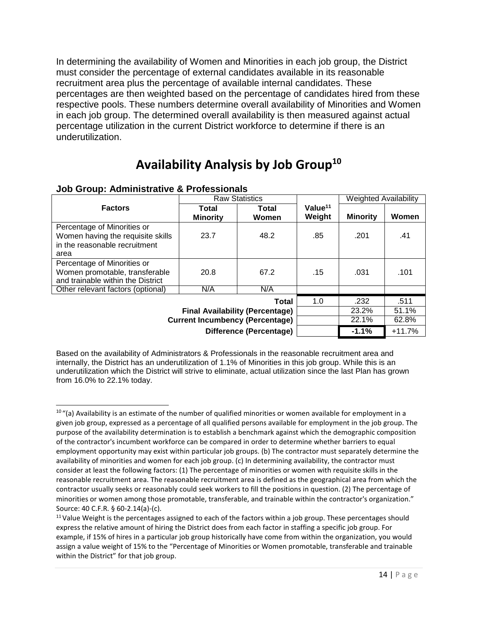In determining the availability of Women and Minorities in each job group, the District must consider the percentage of external candidates available in its reasonable recruitment area plus the percentage of available internal candidates. These percentages are then weighted based on the percentage of candidates hired from these respective pools. These numbers determine overall availability of Minorities and Women in each job group. The determined overall availability is then measured against actual percentage utilization in the current District workforce to determine if there is an underutilization.

### **Availability Analysis by Job Grou[p10](#page-13-0)**

|                                                                                                           |                                        | <b>Raw Statistics</b>                                                      |                                                                                                        | <b>Weighted Availability</b> |                                    |
|-----------------------------------------------------------------------------------------------------------|----------------------------------------|----------------------------------------------------------------------------|--------------------------------------------------------------------------------------------------------|------------------------------|------------------------------------|
| <b>Factors</b>                                                                                            | Total<br><b>Minority</b>               | Total<br>Women                                                             | Value $11$<br>Weight<br><b>Minority</b><br>.85<br>.201<br>.15<br>.031<br>1.0<br>.232<br>23.2%<br>22.1% | Women                        |                                    |
| Percentage of Minorities or<br>Women having the requisite skills<br>in the reasonable recruitment<br>area | 23.7                                   | 48.2                                                                       |                                                                                                        |                              | .41                                |
| Percentage of Minorities or<br>Women promotable, transferable<br>and trainable within the District        | 20.8                                   | 67.2                                                                       |                                                                                                        |                              | .101                               |
| Other relevant factors (optional)                                                                         | N/A                                    | N/A                                                                        |                                                                                                        |                              |                                    |
|                                                                                                           | <b>Current Incumbency (Percentage)</b> | Total<br><b>Final Availability (Percentage)</b><br>Difference (Percentage) |                                                                                                        | $-1.1%$                      | .511<br>51.1%<br>62.8%<br>$+11.7%$ |

### **Job Group: Administrative & Professionals**

Based on the availability of Administrators & Professionals in the reasonable recruitment area and internally, the District has an underutilization of 1.1% of Minorities in this job group. While this is an underutilization which the District will strive to eliminate, actual utilization since the last Plan has grown from 16.0% to 22.1% today.

<span id="page-13-0"></span> $10$  "(a) Availability is an estimate of the number of qualified minorities or women available for employment in a given job group, expressed as a percentage of all qualified persons available for employment in the job group. The purpose of the availability determination is to establish a benchmark against which the demographic composition of the contractor's incumbent workforce can be compared in order to determine whether barriers to equal employment opportunity may exist within particular job groups. (b) The contractor must separately determine the availability of minorities and women for each job group. (c) In determining availability, the contractor must consider at least the following factors: (1) The percentage of minorities or women with requisite skills in the reasonable recruitment area. The reasonable recruitment area is defined as the geographical area from which the contractor usually seeks or reasonably could seek workers to fill the positions in question. (2) The percentage of minorities or women among those promotable, transferable, and trainable within the contractor's organization." Source: 40 C.F.R. § 60-2.14(a)-(c).

<span id="page-13-1"></span><sup>&</sup>lt;sup>11</sup> Value Weight is the percentages assigned to each of the factors within a job group. These percentages should express the relative amount of hiring the District does from each factor in staffing a specific job group. For example, if 15% of hires in a particular job group historically have come from within the organization, you would assign a value weight of 15% to the "Percentage of Minorities or Women promotable, transferable and trainable within the District" for that job group.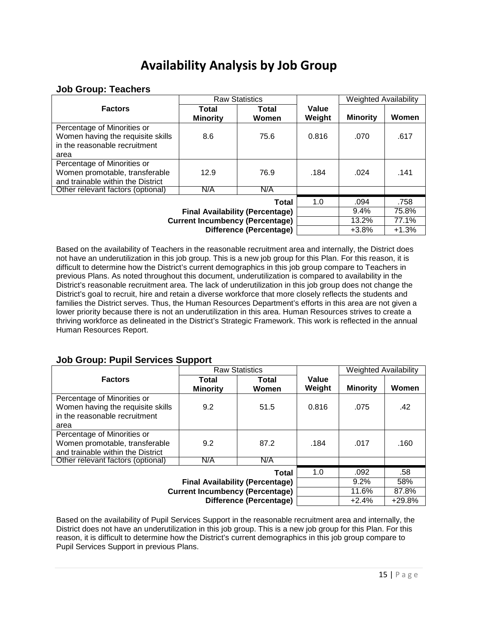### **Availability Analysis by Job Group**

### **Job Group: Teachers**

|                                                                  |                          | <b>Raw Statistics</b>          |                 | <b>Weighted Availability</b> |         |
|------------------------------------------------------------------|--------------------------|--------------------------------|-----------------|------------------------------|---------|
| <b>Factors</b>                                                   | Total<br><b>Minority</b> | Total<br>Women                 | Value<br>Weight | <b>Minority</b>              | Women   |
| Percentage of Minorities or<br>Women having the requisite skills | 8.6                      | 75.6                           | 0.816           | .070                         | .617    |
| in the reasonable recruitment                                    |                          |                                |                 |                              |         |
| area                                                             |                          |                                |                 |                              |         |
| Percentage of Minorities or                                      |                          |                                |                 |                              |         |
| Women promotable, transferable                                   | 12.9                     | 76.9                           | .184            | .024                         | .141    |
| and trainable within the District                                |                          |                                |                 |                              |         |
| Other relevant factors (optional)                                | N/A                      | N/A                            |                 |                              |         |
|                                                                  |                          | <b>Total</b>                   | 1.0             | .094                         | .758    |
|                                                                  |                          | 9.4%                           | 75.8%           |                              |         |
| <b>Current Incumbency (Percentage)</b>                           |                          | 13.2%                          | 77.1%           |                              |         |
|                                                                  |                          | <b>Difference (Percentage)</b> |                 | $+3.8%$                      | $+1.3%$ |

Based on the availability of Teachers in the reasonable recruitment area and internally, the District does not have an underutilization in this job group. This is a new job group for this Plan. For this reason, it is difficult to determine how the District's current demographics in this job group compare to Teachers in previous Plans. As noted throughout this document, underutilization is compared to availability in the District's reasonable recruitment area. The lack of underutilization in this job group does not change the District's goal to recruit, hire and retain a diverse workforce that more closely reflects the students and families the District serves. Thus, the Human Resources Department's efforts in this area are not given a lower priority because there is not an underutilization in this area. Human Resources strives to create a thriving workforce as delineated in the District's Strategic Framework. This work is reflected in the annual Human Resources Report.

### **Job Group: Pupil Services Support**

|                                                                                                           |                          | <b>Raw Statistics</b>               |                                 | <b>Weighted Availability</b> |       |  |
|-----------------------------------------------------------------------------------------------------------|--------------------------|-------------------------------------|---------------------------------|------------------------------|-------|--|
| <b>Factors</b>                                                                                            | Total<br><b>Minority</b> | <b>Total</b><br>Women               | Value<br>Weight                 | <b>Minority</b>              | Women |  |
| Percentage of Minorities or<br>Women having the requisite skills<br>in the reasonable recruitment<br>area | 9.2                      | 51.5                                | 0.816                           | .075                         | .42   |  |
| Percentage of Minorities or<br>Women promotable, transferable<br>and trainable within the District        | 9.2                      | 87.2                                | .184                            | .017                         | .160  |  |
| Other relevant factors (optional)                                                                         | N/A                      | N/A                                 |                                 |                              |       |  |
| <b>Current Incumbency (Percentage)</b>                                                                    | 1.0                      | .092<br>$9.2\%$<br>11.6%<br>$+2.4%$ | .58<br>58%<br>87.8%<br>$+29.8%$ |                              |       |  |

Based on the availability of Pupil Services Support in the reasonable recruitment area and internally, the District does not have an underutilization in this job group. This is a new job group for this Plan. For this reason, it is difficult to determine how the District's current demographics in this job group compare to Pupil Services Support in previous Plans.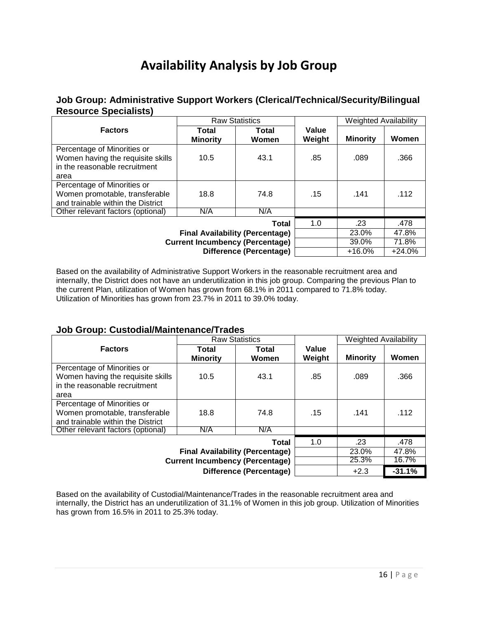# **Availability Analysis by Job Group**

### **Job Group: Administrative Support Workers (Clerical/Technical/Security/Bilingual Resource Specialists)**

|                                        | <b>Raw Statistics</b>    |                                |                 | <b>Weighted Availability</b><br><b>Minority</b> |          |
|----------------------------------------|--------------------------|--------------------------------|-----------------|-------------------------------------------------|----------|
| <b>Factors</b>                         | Total<br><b>Minority</b> | Total<br>Women                 | Value<br>Weight |                                                 | Women    |
| Percentage of Minorities or            |                          |                                |                 |                                                 |          |
| Women having the requisite skills      | 10.5                     | 43.1                           | .85             | .089                                            | .366     |
| in the reasonable recruitment          |                          |                                |                 |                                                 |          |
| area                                   |                          |                                |                 |                                                 |          |
| Percentage of Minorities or            |                          |                                |                 |                                                 |          |
| Women promotable, transferable         | 18.8                     | 74.8                           | .15             | .141                                            | .112     |
| and trainable within the District      |                          |                                |                 |                                                 |          |
| Other relevant factors (optional)      | N/A                      | N/A                            |                 |                                                 |          |
|                                        |                          | Total                          | 1.0             | .23                                             | .478     |
|                                        |                          | 23.0%                          | 47.8%           |                                                 |          |
| <b>Current Incumbency (Percentage)</b> |                          | 39.0%                          | 71.8%           |                                                 |          |
|                                        |                          | <b>Difference (Percentage)</b> |                 | $+16.0%$                                        | $+24.0%$ |

Based on the availability of Administrative Support Workers in the reasonable recruitment area and internally, the District does not have an underutilization in this job group. Comparing the previous Plan to the current Plan, utilization of Women has grown from 68.1% in 2011 compared to 71.8% today. Utilization of Minorities has grown from 23.7% in 2011 to 39.0% today.

### **Job Group: Custodial/Maintenance/Trades**

|                                                                    |                          | <b>Raw Statistics</b>          |                 | <b>Weighted Availability</b> |          |
|--------------------------------------------------------------------|--------------------------|--------------------------------|-----------------|------------------------------|----------|
| <b>Factors</b>                                                     | Total<br><b>Minority</b> | Total<br>Women                 | Value<br>Weight | <b>Minority</b>              | Women    |
| Percentage of Minorities or                                        |                          |                                |                 |                              |          |
| Women having the requisite skills<br>in the reasonable recruitment | 10.5                     | 43.1                           | .85             | .089                         | .366     |
| area                                                               |                          |                                |                 |                              |          |
| Percentage of Minorities or                                        |                          |                                |                 |                              |          |
| Women promotable, transferable                                     | 18.8                     | 74.8                           | .15             | .141                         | .112     |
| and trainable within the District                                  |                          |                                |                 |                              |          |
| Other relevant factors (optional)                                  | N/A                      | N/A                            |                 |                              |          |
|                                                                    |                          | Total                          | 1.0             | .23                          | .478     |
|                                                                    |                          | 23.0%                          | 47.8%           |                              |          |
| <b>Current Incumbency (Percentage)</b>                             |                          | 25.3%                          | 16.7%           |                              |          |
|                                                                    |                          | <b>Difference (Percentage)</b> |                 | $+2.3$                       | $-31.1%$ |

Based on the availability of Custodial/Maintenance/Trades in the reasonable recruitment area and internally, the District has an underutilization of 31.1% of Women in this job group. Utilization of Minorities has grown from 16.5% in 2011 to 25.3% today.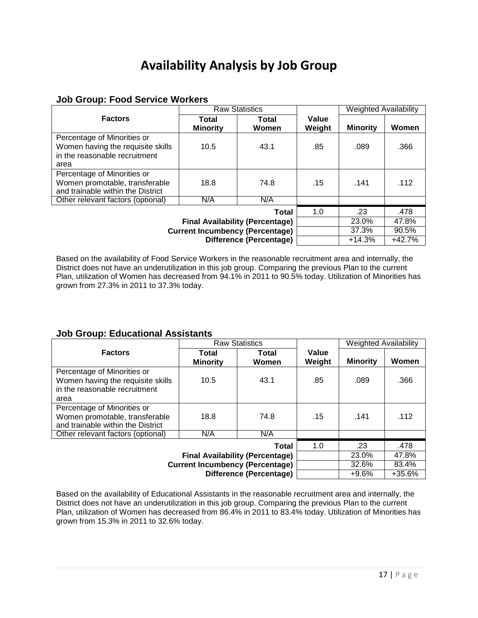# **Availability Analysis by Job Group**

### **Job Group: Food Service Workers**

|                                        |                          | <b>Raw Statistics</b>   |                 | <b>Weighted Availability</b> |          |
|----------------------------------------|--------------------------|-------------------------|-----------------|------------------------------|----------|
| <b>Factors</b>                         | Total<br><b>Minority</b> | Total<br><b>Women</b>   | Value<br>Weight | <b>Minority</b>              | Women    |
| Percentage of Minorities or            |                          |                         |                 |                              |          |
| Women having the requisite skills      | 10.5                     | 43.1                    | .85             | .089                         | .366     |
| in the reasonable recruitment          |                          |                         |                 |                              |          |
| area                                   |                          |                         |                 |                              |          |
| Percentage of Minorities or            |                          |                         |                 |                              |          |
| Women promotable, transferable         | 18.8                     | 74.8                    | .15             | .141                         | .112     |
| and trainable within the District      |                          |                         |                 |                              |          |
| Other relevant factors (optional)      | N/A                      | N/A                     |                 |                              |          |
|                                        |                          | Total                   | 1.0             | .23                          | .478     |
|                                        |                          | 23.0%                   | 47.8%           |                              |          |
| <b>Current Incumbency (Percentage)</b> |                          | 37.3%                   | 90.5%           |                              |          |
|                                        |                          | Difference (Percentage) |                 | $+14.3%$                     | $+42.7%$ |

Based on the availability of Food Service Workers in the reasonable recruitment area and internally, the District does not have an underutilization in this job group. Comparing the previous Plan to the current Plan, utilization of Women has decreased from 94.1% in 2011 to 90.5% today. Utilization of Minorities has grown from 27.3% in 2011 to 37.3% today.

### **Job Group: Educational Assistants**

|                                                                                                    |                          | <b>Raw Statistics</b>            |                                    | <b>Weighted Availability</b> |       |
|----------------------------------------------------------------------------------------------------|--------------------------|----------------------------------|------------------------------------|------------------------------|-------|
| <b>Factors</b>                                                                                     | Total<br><b>Minority</b> | Total<br>Women                   | Value<br>Weight                    | <b>Minority</b>              | Women |
| Percentage of Minorities or<br>Women having the requisite skills<br>in the reasonable recruitment  | 10.5                     | 43.1                             | .85                                | .089                         | .366  |
| area                                                                                               |                          |                                  |                                    |                              |       |
| Percentage of Minorities or<br>Women promotable, transferable<br>and trainable within the District | 18.8                     | 74.8                             | .15                                | .141                         | .112  |
| Other relevant factors (optional)                                                                  | N/A                      | N/A                              |                                    |                              |       |
| <b>Current Incumbency (Percentage)</b>                                                             | 1.0                      | .23<br>23.0%<br>32.6%<br>$+9.6%$ | .478<br>47.8%<br>83.4%<br>$+35.6%$ |                              |       |

Based on the availability of Educational Assistants in the reasonable recruitment area and internally, the District does not have an underutilization in this job group. Comparing the previous Plan to the current Plan, utilization of Women has decreased from 86.4% in 2011 to 83.4% today. Utilization of Minorities has grown from 15.3% in 2011 to 32.6% today.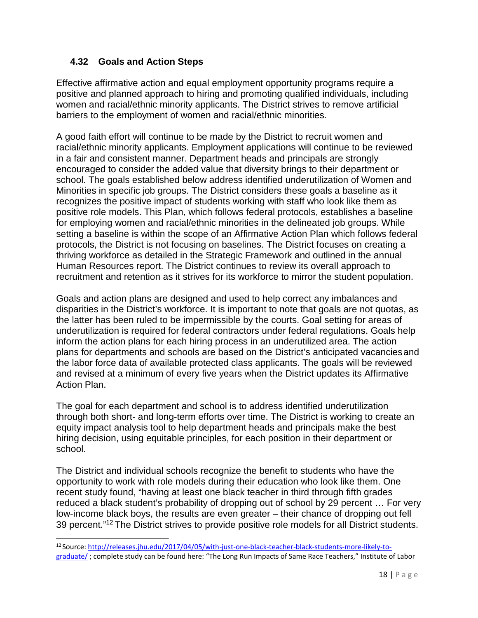### **4.32 Goals and Action Steps**

<span id="page-17-0"></span>Effective affirmative action and equal employment opportunity programs require a positive and planned approach to hiring and promoting qualified individuals, including women and racial/ethnic minority applicants. The District strives to remove artificial barriers to the employment of women and racial/ethnic minorities.

A good faith effort will continue to be made by the District to recruit women and racial/ethnic minority applicants. Employment applications will continue to be reviewed in a fair and consistent manner. Department heads and principals are strongly encouraged to consider the added value that diversity brings to their department or school. The goals established below address identified underutilization of Women and Minorities in specific job groups. The District considers these goals a baseline as it recognizes the positive impact of students working with staff who look like them as positive role models. This Plan, which follows federal protocols, establishes a baseline for employing women and racial/ethnic minorities in the delineated job groups. While setting a baseline is within the scope of an Affirmative Action Plan which follows federal protocols, the District is not focusing on baselines. The District focuses on creating a thriving workforce as detailed in the Strategic Framework and outlined in the annual Human Resources report. The District continues to review its overall approach to recruitment and retention as it strives for its workforce to mirror the student population.

Goals and action plans are designed and used to help correct any imbalances and disparities in the District's workforce. It is important to note that goals are not quotas, as the latter has been ruled to be impermissible by the courts. Goal setting for areas of underutilization is required for federal contractors under federal regulations. Goals help inform the action plans for each hiring process in an underutilized area. The action plans for departments and schools are based on the District's anticipated vacanciesand the labor force data of available protected class applicants. The goals will be reviewed and revised at a minimum of every five years when the District updates its Affirmative Action Plan.

The goal for each department and school is to address identified underutilization through both short- and long-term efforts over time. The District is working to create an equity impact analysis tool to help department heads and principals make the best hiring decision, using equitable principles, for each position in their department or school.

The District and individual schools recognize the benefit to students who have the opportunity to work with role models during their education who look like them. One recent study found, "having at least one black teacher in third through fifth grades reduced a black student's probability of dropping out of school by 29 percent … For very low-income black boys, the results are even greater – their chance of dropping out fell 39 percent."<sup>12</sup> The District strives to provide positive role models for all District students.

<span id="page-17-1"></span><sup>12</sup> Source: [http://releases.jhu.edu/2017/04/05/with-just-one-black-teacher-black-students-more-likely-to](http://releases.jhu.edu/2017/04/05/with-just-one-black-teacher-black-students-more-likely-to-graduate/)[graduate/](http://releases.jhu.edu/2017/04/05/with-just-one-black-teacher-black-students-more-likely-to-graduate/) ; complete study can be found here: "The Long Run Impacts of Same Race Teachers," Institute of Labor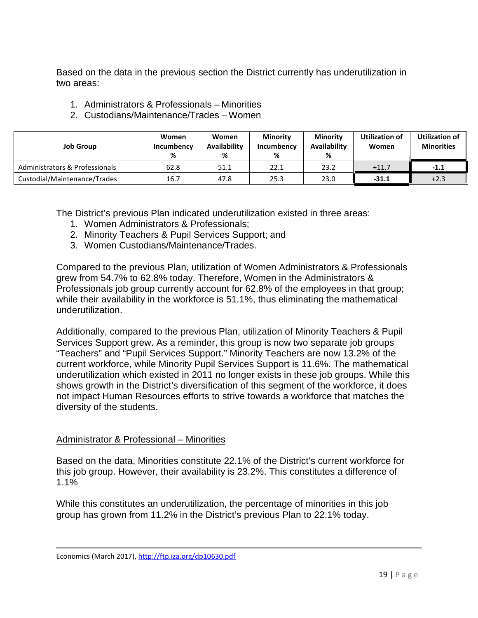Based on the data in the previous section the District currently has underutilization in two areas:

- 1. Administrators & Professionals Minorities
- 2. Custodians/Maintenance/Trades Women

| <b>Job Group</b>               | Women<br>Incumbency<br>% | <b>Women</b><br><b>Availability</b><br>% | <b>Minority</b><br>Incumbency<br>% | <b>Minority</b><br><b>Availability</b><br>% | Utilization of<br>Women | <b>Utilization of</b><br><b>Minorities</b> |
|--------------------------------|--------------------------|------------------------------------------|------------------------------------|---------------------------------------------|-------------------------|--------------------------------------------|
| Administrators & Professionals | 62.8                     | 51.1                                     | 22.1                               | 23.2                                        | $+11.7$                 | $-1.1$                                     |
| Custodial/Maintenance/Trades   | 16.7                     | 47.8                                     | 25.3                               | 23.0                                        | $-31.1$                 | $+2.3$                                     |

The District's previous Plan indicated underutilization existed in three areas:

- 1. Women Administrators & Professionals;
- 2. Minority Teachers & Pupil Services Support; and
- 3. Women Custodians/Maintenance/Trades.

Compared to the previous Plan, utilization of Women Administrators & Professionals grew from 54.7% to 62.8% today. Therefore, Women in the Administrators & Professionals job group currently account for 62.8% of the employees in that group; while their availability in the workforce is 51.1%, thus eliminating the mathematical underutilization.

Additionally, compared to the previous Plan, utilization of Minority Teachers & Pupil Services Support grew. As a reminder, this group is now two separate job groups "Teachers" and "Pupil Services Support." Minority Teachers are now 13.2% of the current workforce, while Minority Pupil Services Support is 11.6%. The mathematical underutilization which existed in 2011 no longer exists in these job groups. While this shows growth in the District's diversification of this segment of the workforce, it does not impact Human Resources efforts to strive towards a workforce that matches the diversity of the students.

### Administrator & Professional – Minorities

Based on the data, Minorities constitute 22.1% of the District's current workforce for this job group. However, their availability is 23.2%. This constitutes a difference of 1.1%

While this constitutes an underutilization, the percentage of minorities in this job group has grown from 11.2% in the District's previous Plan to 22.1% today.

Economics (March 2017),<http://ftp.iza.org/dp10630.pdf>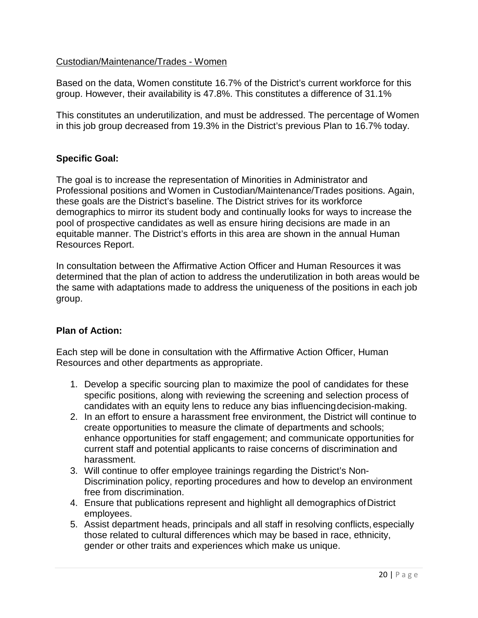### Custodian/Maintenance/Trades - Women

Based on the data, Women constitute 16.7% of the District's current workforce for this group. However, their availability is 47.8%. This constitutes a difference of 31.1%

This constitutes an underutilization, and must be addressed. The percentage of Women in this job group decreased from 19.3% in the District's previous Plan to 16.7% today.

### **Specific Goal:**

The goal is to increase the representation of Minorities in Administrator and Professional positions and Women in Custodian/Maintenance/Trades positions. Again, these goals are the District's baseline. The District strives for its workforce demographics to mirror its student body and continually looks for ways to increase the pool of prospective candidates as well as ensure hiring decisions are made in an equitable manner. The District's efforts in this area are shown in the annual Human Resources Report.

In consultation between the Affirmative Action Officer and Human Resources it was determined that the plan of action to address the underutilization in both areas would be the same with adaptations made to address the uniqueness of the positions in each job group.

### **Plan of Action:**

Each step will be done in consultation with the Affirmative Action Officer, Human Resources and other departments as appropriate.

- 1. Develop a specific sourcing plan to maximize the pool of candidates for these specific positions, along with reviewing the screening and selection process of candidates with an equity lens to reduce any bias influencingdecision-making.
- 2. In an effort to ensure a harassment free environment, the District will continue to create opportunities to measure the climate of departments and schools; enhance opportunities for staff engagement; and communicate opportunities for current staff and potential applicants to raise concerns of discrimination and harassment.
- 3. Will continue to offer employee trainings regarding the District's Non-Discrimination policy, reporting procedures and how to develop an environment free from discrimination.
- 4. Ensure that publications represent and highlight all demographics of District employees.
- 5. Assist department heads, principals and all staff in resolving conflicts, especially those related to cultural differences which may be based in race, ethnicity, gender or other traits and experiences which make us unique.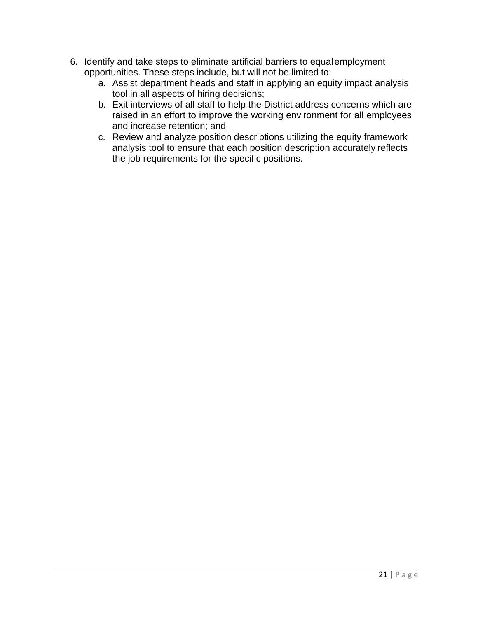- 6. Identify and take steps to eliminate artificial barriers to equalemployment opportunities. These steps include, but will not be limited to:
	- a. Assist department heads and staff in applying an equity impact analysis tool in all aspects of hiring decisions;
	- b. Exit interviews of all staff to help the District address concerns which are raised in an effort to improve the working environment for all employees and increase retention; and
	- c. Review and analyze position descriptions utilizing the equity framework analysis tool to ensure that each position description accurately reflects the job requirements for the specific positions.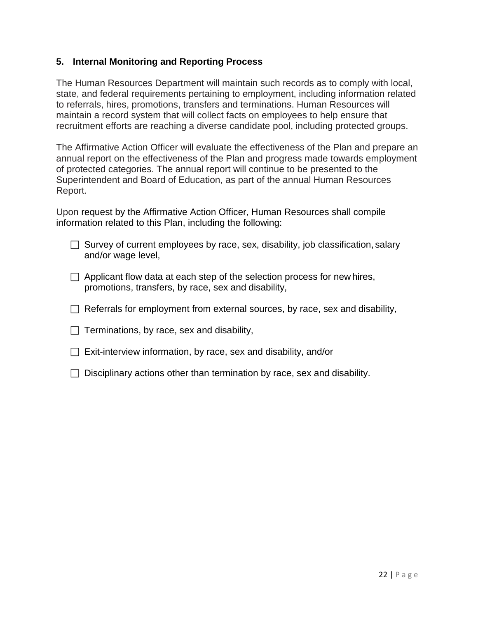### <span id="page-21-0"></span>**5. Internal Monitoring and Reporting Process**

The Human Resources Department will maintain such records as to comply with local, state, and federal requirements pertaining to employment, including information related to referrals, hires, promotions, transfers and terminations. Human Resources will maintain a record system that will collect facts on employees to help ensure that recruitment efforts are reaching a diverse candidate pool, including protected groups.

The Affirmative Action Officer will evaluate the effectiveness of the Plan and prepare an annual report on the effectiveness of the Plan and progress made towards employment of protected categories. The annual report will continue to be presented to the Superintendent and Board of Education, as part of the annual Human Resources Report.

Upon request by the Affirmative Action Officer, Human Resources shall compile information related to this Plan, including the following:

- $\Box$  Survey of current employees by race, sex, disability, job classification, salary and/or wage level,
- $\Box$  Applicant flow data at each step of the selection process for new hires, promotions, transfers, by race, sex and disability,
- $\Box$  Referrals for employment from external sources, by race, sex and disability,
- $\Box$  Terminations, by race, sex and disability,
- $\Box$  Exit-interview information, by race, sex and disability, and/or
- $\Box$  Disciplinary actions other than termination by race, sex and disability.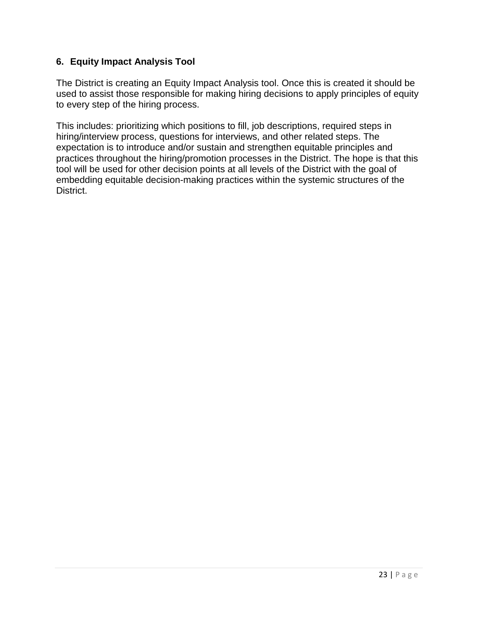### <span id="page-22-0"></span>**6. Equity Impact Analysis Tool**

The District is creating an Equity Impact Analysis tool. Once this is created it should be used to assist those responsible for making hiring decisions to apply principles of equity to every step of the hiring process.

This includes: prioritizing which positions to fill, job descriptions, required steps in hiring/interview process, questions for interviews, and other related steps. The expectation is to introduce and/or sustain and strengthen equitable principles and practices throughout the hiring/promotion processes in the District. The hope is that this tool will be used for other decision points at all levels of the District with the goal of embedding equitable decision-making practices within the systemic structures of the District.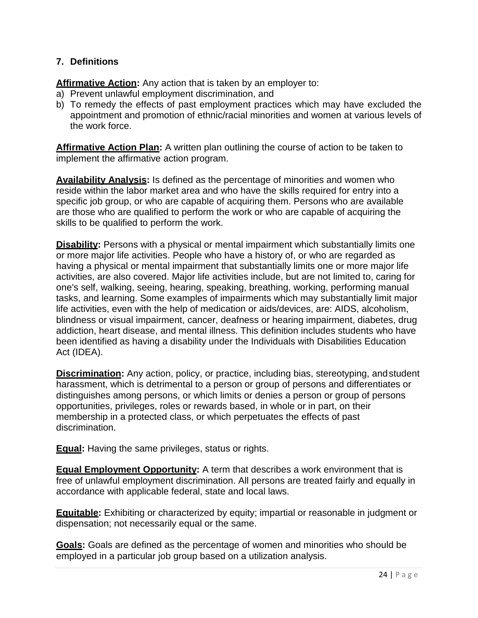### <span id="page-23-0"></span>**7. Definitions**

**Affirmative Action:** Any action that is taken by an employer to:

- a) Prevent unlawful employment discrimination, and
- b) To remedy the effects of past employment practices which may have excluded the appointment and promotion of ethnic/racial minorities and women at various levels of the work force.

**Affirmative Action Plan:** A written plan outlining the course of action to be taken to implement the affirmative action program.

**Availability Analysis:** Is defined as the percentage of minorities and women who reside within the labor market area and who have the skills required for entry into a specific job group, or who are capable of acquiring them. Persons who are available are those who are qualified to perform the work or who are capable of acquiring the skills to be qualified to perform the work.

**Disability:** Persons with a physical or mental impairment which substantially limits one or more major life activities. People who have a history of, or who are regarded as having a physical or mental impairment that substantially limits one or more major life activities, are also covered. Major life activities include, but are not limited to, caring for one's self, walking, seeing, hearing, speaking, breathing, working, performing manual tasks, and learning. Some examples of impairments which may substantially limit major life activities, even with the help of medication or aids/devices, are: AIDS, alcoholism, blindness or visual impairment, cancer, deafness or hearing impairment, diabetes, drug addiction, heart disease, and mental illness. This definition includes students who have been identified as having a disability under the Individuals with Disabilities Education Act (IDEA).

**Discrimination:** Any action, policy, or practice, including bias, stereotyping, andstudent harassment, which is detrimental to a person or group of persons and differentiates or distinguishes among persons, or which limits or denies a person or group of persons opportunities, privileges, roles or rewards based, in whole or in part, on their membership in a protected class, or which perpetuates the effects of past discrimination.

**Equal:** Having the same privileges, status or rights.

**Equal Employment Opportunity:** A term that describes a work environment that is free of unlawful employment discrimination. All persons are treated fairly and equally in accordance with applicable federal, state and local laws.

**Equitable:** Exhibiting or characterized by equity; impartial or reasonable in judgment or dispensation; not necessarily equal or the same.

**Goals:** Goals are defined as the percentage of women and minorities who should be employed in a particular job group based on a utilization analysis.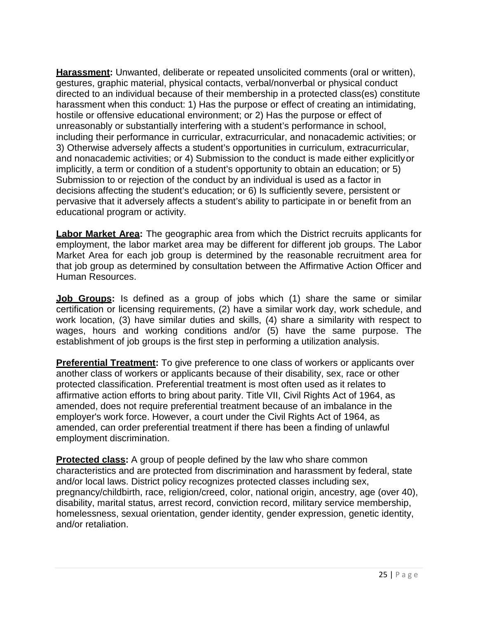**Harassment:** Unwanted, deliberate or repeated unsolicited comments (oral or written), gestures, graphic material, physical contacts, verbal/nonverbal or physical conduct directed to an individual because of their membership in a protected class(es) constitute harassment when this conduct: 1) Has the purpose or effect of creating an intimidating, hostile or offensive educational environment; or 2) Has the purpose or effect of unreasonably or substantially interfering with a student's performance in school, including their performance in curricular, extracurricular, and nonacademic activities; or 3) Otherwise adversely affects a student's opportunities in curriculum, extracurricular, and nonacademic activities; or 4) Submission to the conduct is made either explicitlyor implicitly, a term or condition of a student's opportunity to obtain an education; or 5) Submission to or rejection of the conduct by an individual is used as a factor in decisions affecting the student's education; or 6) Is sufficiently severe, persistent or pervasive that it adversely affects a student's ability to participate in or benefit from an educational program or activity.

**Labor Market Area:** The geographic area from which the District recruits applicants for employment, the labor market area may be different for different job groups. The Labor Market Area for each job group is determined by the reasonable recruitment area for that job group as determined by consultation between the Affirmative Action Officer and Human Resources.

**Job Groups:** Is defined as a group of jobs which (1) share the same or similar certification or licensing requirements, (2) have a similar work day, work schedule, and work location, (3) have similar duties and skills, (4) share a similarity with respect to wages, hours and working conditions and/or (5) have the same purpose. The establishment of job groups is the first step in performing a utilization analysis.

**Preferential Treatment:** To give preference to one class of workers or applicants over another class of workers or applicants because of their disability, sex, race or other protected classification. Preferential treatment is most often used as it relates to affirmative action efforts to bring about parity. Title VII, Civil Rights Act of 1964, as amended, does not require preferential treatment because of an imbalance in the employer's work force. However, a court under the Civil Rights Act of 1964, as amended, can order preferential treatment if there has been a finding of unlawful employment discrimination.

**Protected class:** A group of people defined by the law who share common characteristics and are protected from discrimination and harassment by federal, state and/or local laws. District policy recognizes protected classes including sex, pregnancy/childbirth, race, religion/creed, color, national origin, ancestry, age (over 40), disability, marital status, arrest record, conviction record, military service membership, homelessness, sexual orientation, gender identity, gender expression, genetic identity, and/or retaliation.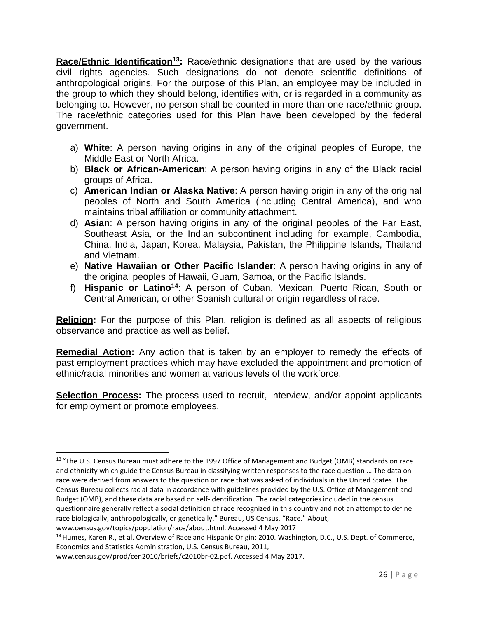Race/Ethnic Identification<sup>13</sup>: Race/ethnic designations that are used by the various civil rights agencies. Such designations do not denote scientific definitions of anthropological origins. For the purpose of this Plan, an employee may be included in the group to which they should belong, identifies with, or is regarded in a community as belonging to. However, no person shall be counted in more than one race/ethnic group. The race/ethnic categories used for this Plan have been developed by the federal government.

- a) **White**: A person having origins in any of the original peoples of Europe, the Middle East or North Africa.
- b) **Black or African-American**: A person having origins in any of the Black racial groups of Africa.
- c) **American Indian or Alaska Native**: A person having origin in any of the original peoples of North and South America (including Central America), and who maintains tribal affiliation or community attachment.
- d) **Asian**: A person having origins in any of the original peoples of the Far East, Southeast Asia, or the Indian subcontinent including for example, Cambodia, China, India, Japan, Korea, Malaysia, Pakistan, the Philippine Islands, Thailand and Vietnam.
- e) **Native Hawaiian or Other Pacific Islander**: A person having origins in any of the original peoples of Hawaii, Guam, Samoa, or the Pacific Islands.
- f) **Hispanic or Latin[o14](#page-25-1)**: A person of Cuban, Mexican, Puerto Rican, South or Central American, or other Spanish cultural or origin regardless of race.

**Religion:** For the purpose of this Plan, religion is defined as all aspects of religious observance and practice as well as belief.

**Remedial Action:** Any action that is taken by an employer to remedy the effects of past employment practices which may have excluded the appointment and promotion of ethnic/racial minorities and women at various levels of the workforce.

**Selection Process:** The process used to recruit, interview, and/or appoint applicants for employment or promote employees.

<span id="page-25-0"></span><sup>&</sup>lt;sup>13</sup> "The U.S. Census Bureau must adhere to the 1997 Office of Management and Budget (OMB) standards on race and ethnicity which guide the Census Bureau in classifying written responses to the race question … The data on race were derived from answers to the question on race that was asked of individuals in the United States. The Census Bureau collects racial data in accordance with guidelines provided by the U.S. Office of Management and Budget (OMB), and these data are based on self-identification. The racial categories included in the census questionnaire generally reflect a social definition of race recognized in this country and not an attempt to define race biologically, anthropologically, or genetically." Bureau, US Census. "Race." Abou[t,](http://www.census.gov/topics/population/race/about.html)

<span id="page-25-1"></span>[www.census.gov/topics/population/race/about.html. A](http://www.census.gov/topics/population/race/about.html)ccessed 4 May 2017

<sup>&</sup>lt;sup>14</sup> Humes, Karen R., et al. Overview of Race and Hispanic Origin: 2010. Washington, D.C., U.S. Dept. of Commerce, Economics and Statistics Administration, U.S. Census Bureau, 2011[,](http://www.census.gov/prod/cen2010/briefs/c2010br-02.pdf)

[www.census.gov/prod/cen2010/briefs/c2010br-02.pdf. A](http://www.census.gov/prod/cen2010/briefs/c2010br-02.pdf)ccessed 4 May 2017.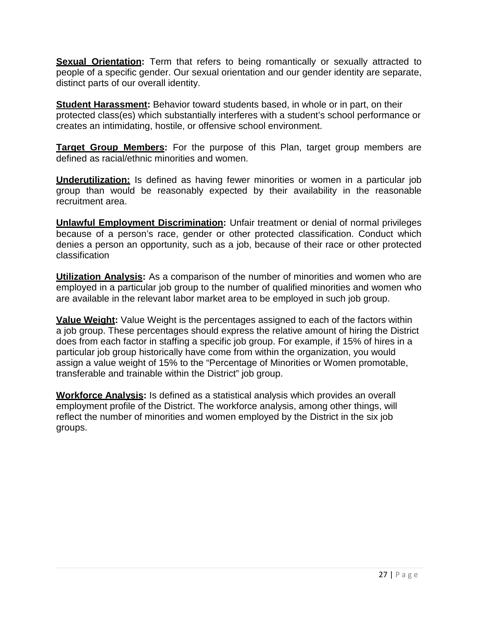**Sexual Orientation:** Term that refers to being romantically or sexually attracted to people of a specific gender. Our sexual orientation and our gender identity are separate, distinct parts of our overall identity.

**Student Harassment:** Behavior toward students based, in whole or in part, on their protected class(es) which substantially interferes with a student's school performance or creates an intimidating, hostile, or offensive school environment.

**Target Group Members:** For the purpose of this Plan, target group members are defined as racial/ethnic minorities and women.

**Underutilization:** Is defined as having fewer minorities or women in a particular job group than would be reasonably expected by their availability in the reasonable recruitment area.

**Unlawful Employment Discrimination:** Unfair treatment or denial of normal privileges because of a person's race, gender or other protected classification. Conduct which denies a person an opportunity, such as a job, because of their race or other protected classification

**Utilization Analysis:** As a comparison of the number of minorities and women who are employed in a particular job group to the number of qualified minorities and women who are available in the relevant labor market area to be employed in such job group.

**Value Weight:** Value Weight is the percentages assigned to each of the factors within a job group. These percentages should express the relative amount of hiring the District does from each factor in staffing a specific job group. For example, if 15% of hires in a particular job group historically have come from within the organization, you would assign a value weight of 15% to the "Percentage of Minorities or Women promotable, transferable and trainable within the District" job group.

**Workforce Analysis:** Is defined as a statistical analysis which provides an overall employment profile of the District. The workforce analysis, among other things, will reflect the number of minorities and women employed by the District in the six job groups.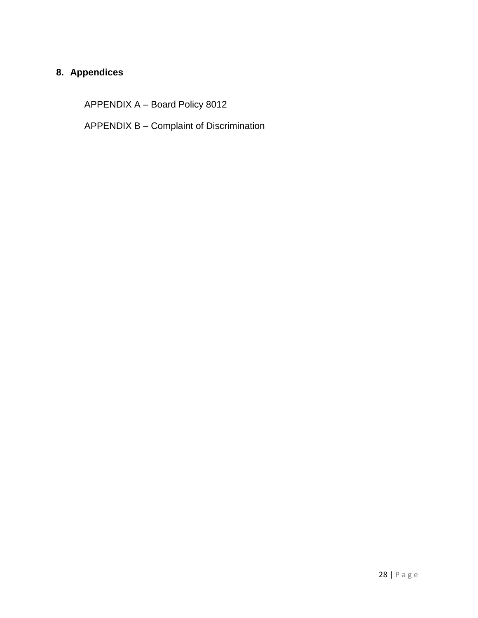### <span id="page-27-0"></span>**8. Appendices**

APPENDIX A – Board Policy 8012

APPENDIX B – Complaint of Discrimination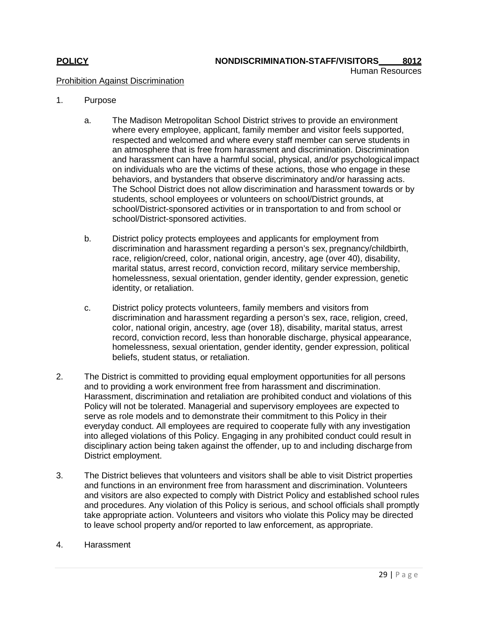### **POLICY NONDISCRIMINATION-STAFF/VISITORS 8012**

Human Resources

### Prohibition Against Discrimination

- 1. Purpose
	- a. The Madison Metropolitan School District strives to provide an environment where every employee, applicant, family member and visitor feels supported, respected and welcomed and where every staff member can serve students in an atmosphere that is free from harassment and discrimination. Discrimination and harassment can have a harmful social, physical, and/or psychological impact on individuals who are the victims of these actions, those who engage in these behaviors, and bystanders that observe discriminatory and/or harassing acts. The School District does not allow discrimination and harassment towards or by students, school employees or volunteers on school/District grounds, at school/District-sponsored activities or in transportation to and from school or school/District-sponsored activities.
	- b. District policy protects employees and applicants for employment from discrimination and harassment regarding a person's sex, pregnancy/childbirth, race, religion/creed, color, national origin, ancestry, age (over 40), disability, marital status, arrest record, conviction record, military service membership, homelessness, sexual orientation, gender identity, gender expression, genetic identity, or retaliation.
	- c. District policy protects volunteers, family members and visitors from discrimination and harassment regarding a person's sex, race, religion, creed, color, national origin, ancestry, age (over 18), disability, marital status, arrest record, conviction record, less than honorable discharge, physical appearance, homelessness, sexual orientation, gender identity, gender expression, political beliefs, student status, or retaliation.
- 2. The District is committed to providing equal employment opportunities for all persons and to providing a work environment free from harassment and discrimination. Harassment, discrimination and retaliation are prohibited conduct and violations of this Policy will not be tolerated. Managerial and supervisory employees are expected to serve as role models and to demonstrate their commitment to this Policy in their everyday conduct. All employees are required to cooperate fully with any investigation into alleged violations of this Policy. Engaging in any prohibited conduct could result in disciplinary action being taken against the offender, up to and including discharge from District employment.
- 3. The District believes that volunteers and visitors shall be able to visit District properties and functions in an environment free from harassment and discrimination. Volunteers and visitors are also expected to comply with District Policy and established school rules and procedures. Any violation of this Policy is serious, and school officials shall promptly take appropriate action. Volunteers and visitors who violate this Policy may be directed to leave school property and/or reported to law enforcement, as appropriate.
- 4. Harassment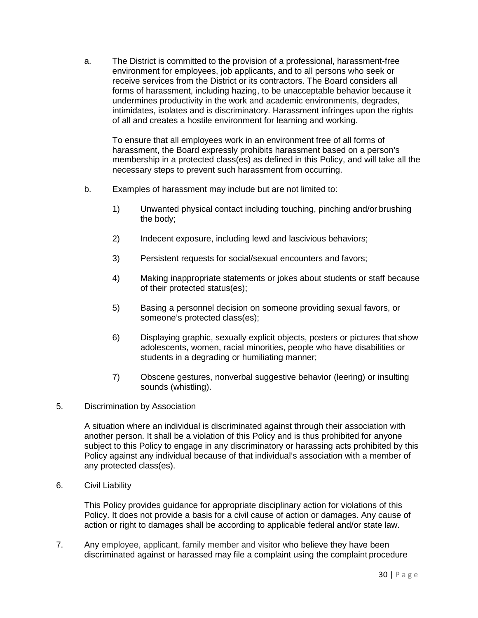a. The District is committed to the provision of a professional, harassment-free environment for employees, job applicants, and to all persons who seek or receive services from the District or its contractors. The Board considers all forms of harassment, including hazing, to be unacceptable behavior because it undermines productivity in the work and academic environments, degrades, intimidates, isolates and is discriminatory. Harassment infringes upon the rights of all and creates a hostile environment for learning and working.

To ensure that all employees work in an environment free of all forms of harassment, the Board expressly prohibits harassment based on a person's membership in a protected class(es) as defined in this Policy, and will take all the necessary steps to prevent such harassment from occurring.

- b. Examples of harassment may include but are not limited to:
	- 1) Unwanted physical contact including touching, pinching and/or brushing the body;
	- 2) Indecent exposure, including lewd and lascivious behaviors;
	- 3) Persistent requests for social/sexual encounters and favors;
	- 4) Making inappropriate statements or jokes about students or staff because of their protected status(es);
	- 5) Basing a personnel decision on someone providing sexual favors, or someone's protected class(es);
	- 6) Displaying graphic, sexually explicit objects, posters or pictures that show adolescents, women, racial minorities, people who have disabilities or students in a degrading or humiliating manner;
	- 7) Obscene gestures, nonverbal suggestive behavior (leering) or insulting sounds (whistling).
- 5. Discrimination by Association

A situation where an individual is discriminated against through their association with another person. It shall be a violation of this Policy and is thus prohibited for anyone subject to this Policy to engage in any discriminatory or harassing acts prohibited by this Policy against any individual because of that individual's association with a member of any protected class(es).

6. Civil Liability

This Policy provides guidance for appropriate disciplinary action for violations of this Policy. It does not provide a basis for a civil cause of action or damages. Any cause of action or right to damages shall be according to applicable federal and/or state law.

7. Any employee, applicant, family member and visitor who believe they have been discriminated against or harassed may file a complaint using the complaint procedure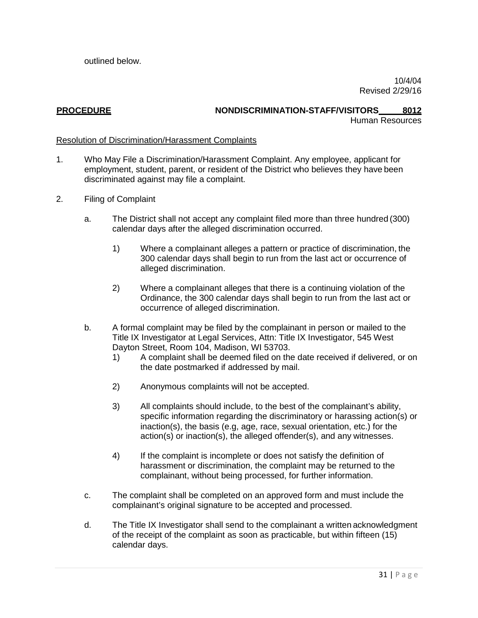outlined below.

10/4/04 Revised 2/29/16

#### **PROCEDURE NONDISCRIMINATION-STAFF/VISITORS 8012** Human Resources

### Resolution of Discrimination/Harassment Complaints

- 1. Who May File a Discrimination/Harassment Complaint. Any employee, applicant for employment, student, parent, or resident of the District who believes they have been discriminated against may file a complaint.
- 2. Filing of Complaint
	- a. The District shall not accept any complaint filed more than three hundred (300) calendar days after the alleged discrimination occurred.
		- 1) Where a complainant alleges a pattern or practice of discrimination, the 300 calendar days shall begin to run from the last act or occurrence of alleged discrimination.
		- 2) Where a complainant alleges that there is a continuing violation of the Ordinance, the 300 calendar days shall begin to run from the last act or occurrence of alleged discrimination.
	- b. A formal complaint may be filed by the complainant in person or mailed to the Title IX Investigator at Legal Services, Attn: Title IX Investigator, 545 West Dayton Street, Room 104, Madison, WI 53703.
		- 1) A complaint shall be deemed filed on the date received if delivered, or on the date postmarked if addressed by mail.
		- 2) Anonymous complaints will not be accepted.
		- 3) All complaints should include, to the best of the complainant's ability, specific information regarding the discriminatory or harassing action(s) or inaction(s), the basis (e.g, age, race, sexual orientation, etc.) for the action(s) or inaction(s), the alleged offender(s), and any witnesses.
		- 4) If the complaint is incomplete or does not satisfy the definition of harassment or discrimination, the complaint may be returned to the complainant, without being processed, for further information.
	- c. The complaint shall be completed on an approved form and must include the complainant's original signature to be accepted and processed.
	- d. The Title IX Investigator shall send to the complainant a written acknowledgment of the receipt of the complaint as soon as practicable, but within fifteen (15) calendar days.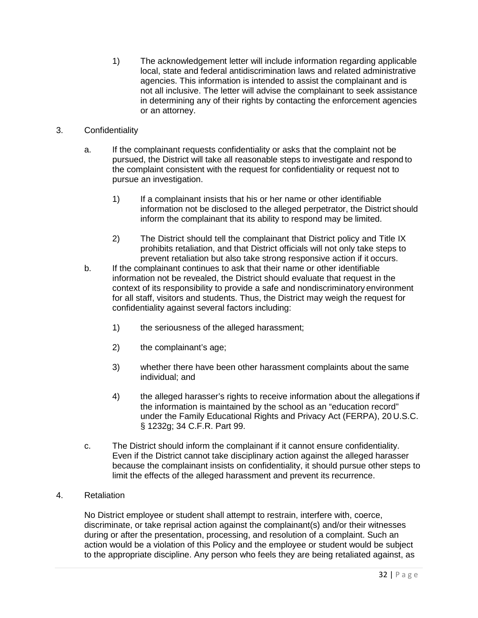1) The acknowledgement letter will include information regarding applicable local, state and federal antidiscrimination laws and related administrative agencies. This information is intended to assist the complainant and is not all inclusive. The letter will advise the complainant to seek assistance in determining any of their rights by contacting the enforcement agencies or an attorney.

### 3. Confidentiality

- a. If the complainant requests confidentiality or asks that the complaint not be pursued, the District will take all reasonable steps to investigate and respond to the complaint consistent with the request for confidentiality or request not to pursue an investigation.
	- 1) If a complainant insists that his or her name or other identifiable information not be disclosed to the alleged perpetrator, the District should inform the complainant that its ability to respond may be limited.
	- 2) The District should tell the complainant that District policy and Title IX prohibits retaliation, and that District officials will not only take steps to prevent retaliation but also take strong responsive action if it occurs.
- b. If the complainant continues to ask that their name or other identifiable information not be revealed, the District should evaluate that request in the context of its responsibility to provide a safe and nondiscriminatory environment for all staff, visitors and students. Thus, the District may weigh the request for confidentiality against several factors including:
	- 1) the seriousness of the alleged harassment;
	- 2) the complainant's age;
	- 3) whether there have been other harassment complaints about the same individual; and
	- 4) the alleged harasser's rights to receive information about the allegations if the information is maintained by the school as an "education record" under the Family Educational Rights and Privacy Act (FERPA), 20 U.S.C. § 1232g; 34 C.F.R. Part 99.
- c. The District should inform the complainant if it cannot ensure confidentiality. Even if the District cannot take disciplinary action against the alleged harasser because the complainant insists on confidentiality, it should pursue other steps to limit the effects of the alleged harassment and prevent its recurrence.
- 4. Retaliation

No District employee or student shall attempt to restrain, interfere with, coerce, discriminate, or take reprisal action against the complainant(s) and/or their witnesses during or after the presentation, processing, and resolution of a complaint. Such an action would be a violation of this Policy and the employee or student would be subject to the appropriate discipline. Any person who feels they are being retaliated against, as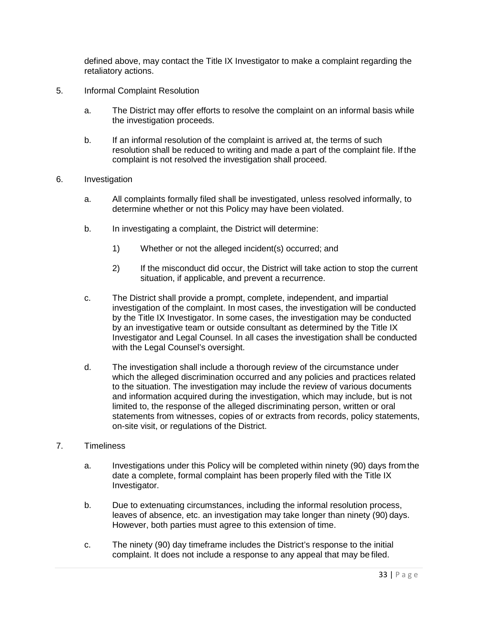defined above, may contact the Title IX Investigator to make a complaint regarding the retaliatory actions.

- 5. Informal Complaint Resolution
	- a. The District may offer efforts to resolve the complaint on an informal basis while the investigation proceeds.
	- b. If an informal resolution of the complaint is arrived at, the terms of such resolution shall be reduced to writing and made a part of the complaint file. If the complaint is not resolved the investigation shall proceed.
- 6. Investigation
	- a. All complaints formally filed shall be investigated, unless resolved informally, to determine whether or not this Policy may have been violated.
	- b. In investigating a complaint, the District will determine:
		- 1) Whether or not the alleged incident(s) occurred; and
		- 2) If the misconduct did occur, the District will take action to stop the current situation, if applicable, and prevent a recurrence.
	- c. The District shall provide a prompt, complete, independent, and impartial investigation of the complaint. In most cases, the investigation will be conducted by the Title IX Investigator. In some cases, the investigation may be conducted by an investigative team or outside consultant as determined by the Title IX Investigator and Legal Counsel. In all cases the investigation shall be conducted with the Legal Counsel's oversight.
	- d. The investigation shall include a thorough review of the circumstance under which the alleged discrimination occurred and any policies and practices related to the situation. The investigation may include the review of various documents and information acquired during the investigation, which may include, but is not limited to, the response of the alleged discriminating person, written or oral statements from witnesses, copies of or extracts from records, policy statements, on-site visit, or regulations of the District.
- 7. Timeliness
	- a. Investigations under this Policy will be completed within ninety (90) days from the date a complete, formal complaint has been properly filed with the Title IX Investigator.
	- b. Due to extenuating circumstances, including the informal resolution process, leaves of absence, etc. an investigation may take longer than ninety (90) days. However, both parties must agree to this extension of time.
	- c. The ninety (90) day timeframe includes the District's response to the initial complaint. It does not include a response to any appeal that may be filed.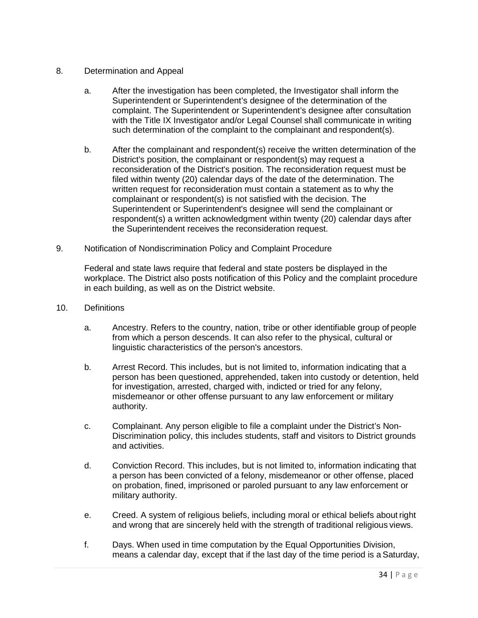### 8. Determination and Appeal

- a. After the investigation has been completed, the Investigator shall inform the Superintendent or Superintendent's designee of the determination of the complaint. The Superintendent or Superintendent's designee after consultation with the Title IX Investigator and/or Legal Counsel shall communicate in writing such determination of the complaint to the complainant and respondent(s).
- b. After the complainant and respondent(s) receive the written determination of the District's position, the complainant or respondent(s) may request a reconsideration of the District's position. The reconsideration request must be filed within twenty (20) calendar days of the date of the determination. The written request for reconsideration must contain a statement as to why the complainant or respondent(s) is not satisfied with the decision. The Superintendent or Superintendent's designee will send the complainant or respondent(s) a written acknowledgment within twenty (20) calendar days after the Superintendent receives the reconsideration request.
- 9. Notification of Nondiscrimination Policy and Complaint Procedure

Federal and state laws require that federal and state posters be displayed in the workplace. The District also posts notification of this Policy and the complaint procedure in each building, as well as on the District website.

- 10. Definitions
	- a. Ancestry. Refers to the country, nation, tribe or other identifiable group of people from which a person descends. It can also refer to the physical, cultural or linguistic characteristics of the person's ancestors.
	- b. Arrest Record. This includes, but is not limited to, information indicating that a person has been questioned, apprehended, taken into custody or detention, held for investigation, arrested, charged with, indicted or tried for any felony, misdemeanor or other offense pursuant to any law enforcement or military authority.
	- c. Complainant. Any person eligible to file a complaint under the District's Non-Discrimination policy, this includes students, staff and visitors to District grounds and activities.
	- d. Conviction Record. This includes, but is not limited to, information indicating that a person has been convicted of a felony, misdemeanor or other offense, placed on probation, fined, imprisoned or paroled pursuant to any law enforcement or military authority.
	- e. Creed. A system of religious beliefs, including moral or ethical beliefs about right and wrong that are sincerely held with the strength of traditional religious views.
	- f. Days. When used in time computation by the Equal Opportunities Division, means a calendar day, except that if the last day of the time period is a Saturday,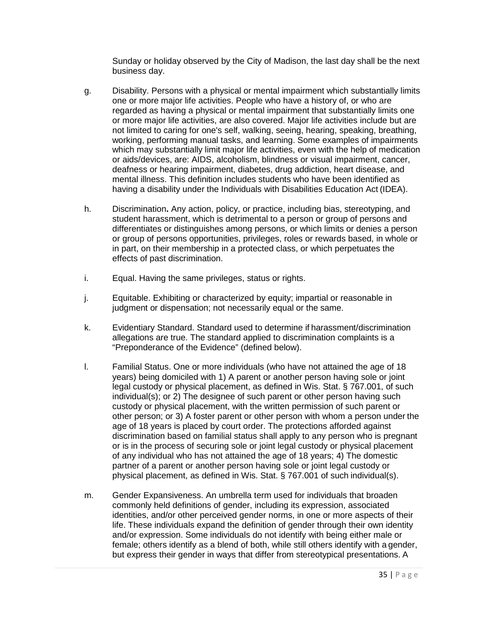Sunday or holiday observed by the City of Madison, the last day shall be the next business day.

- g. Disability. Persons with a physical or mental impairment which substantially limits one or more major life activities. People who have a history of, or who are regarded as having a physical or mental impairment that substantially limits one or more major life activities, are also covered. Major life activities include but are not limited to caring for one's self, walking, seeing, hearing, speaking, breathing, working, performing manual tasks, and learning. Some examples of impairments which may substantially limit major life activities, even with the help of medication or aids/devices, are: AIDS, alcoholism, blindness or visual impairment, cancer, deafness or hearing impairment, diabetes, drug addiction, heart disease, and mental illness. This definition includes students who have been identified as having a disability under the Individuals with Disabilities Education Act (IDEA).
- h. Discrimination**.** Any action, policy, or practice, including bias, stereotyping, and student harassment, which is detrimental to a person or group of persons and differentiates or distinguishes among persons, or which limits or denies a person or group of persons opportunities, privileges, roles or rewards based, in whole or in part, on their membership in a protected class, or which perpetuates the effects of past discrimination.
- i. Equal. Having the same privileges, status or rights.
- j. Equitable. Exhibiting or characterized by equity; impartial or reasonable in judgment or dispensation; not necessarily equal or the same.
- k. Evidentiary Standard. Standard used to determine if harassment/discrimination allegations are true. The standard applied to discrimination complaints is a "Preponderance of the Evidence" (defined below).
- l. Familial Status. One or more individuals (who have not attained the age of 18 years) being domiciled with 1) A parent or another person having sole or joint legal custody or physical placement, as defined in Wis. Stat. § 767.001, of such individual(s); or 2) The designee of such parent or other person having such custody or physical placement, with the written permission of such parent or other person; or 3) A foster parent or other person with whom a person under the age of 18 years is placed by court order. The protections afforded against discrimination based on familial status shall apply to any person who is pregnant or is in the process of securing sole or joint legal custody or physical placement of any individual who has not attained the age of 18 years; 4) The domestic partner of a parent or another person having sole or joint legal custody or physical placement, as defined in Wis. Stat. § 767.001 of such individual(s).
- m. Gender Expansiveness. An umbrella term used for individuals that broaden commonly held definitions of gender, including its expression, associated identities, and/or other perceived gender norms, in one or more aspects of their life. These individuals expand the definition of gender through their own identity and/or expression. Some individuals do not identify with being either male or female; others identify as a blend of both, while still others identify with a gender, but express their gender in ways that differ from stereotypical presentations. A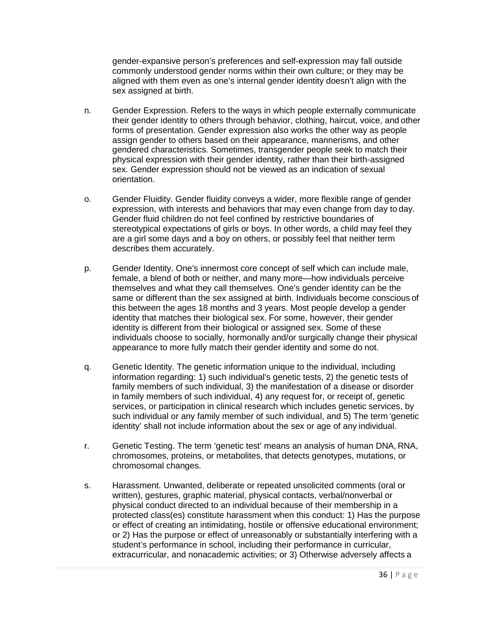gender-expansive person's preferences and self-expression may fall outside commonly understood gender norms within their own culture; or they may be aligned with them even as one's internal gender identity doesn't align with the sex assigned at birth.

- n. Gender Expression. Refers to the ways in which people externally communicate their gender identity to others through behavior, clothing, haircut, voice, and other forms of presentation. Gender expression also works the other way as people assign gender to others based on their appearance, mannerisms, and other gendered characteristics. Sometimes, transgender people seek to match their physical expression with their gender identity, rather than their birth-assigned sex. Gender expression should not be viewed as an indication of sexual orientation.
- o. Gender Fluidity. Gender fluidity conveys a wider, more flexible range of gender expression, with interests and behaviors that may even change from day to day. Gender fluid children do not feel confined by restrictive boundaries of stereotypical expectations of girls or boys. In other words, a child may feel they are a girl some days and a boy on others, or possibly feel that neither term describes them accurately.
- p. Gender Identity. One's innermost core concept of self which can include male, female, a blend of both or neither, and many more—how individuals perceive themselves and what they call themselves. One's gender identity can be the same or different than the sex assigned at birth. Individuals become conscious of this between the ages 18 months and 3 years. Most people develop a gender identity that matches their biological sex. For some, however, their gender identity is different from their biological or assigned sex. Some of these individuals choose to socially, hormonally and/or surgically change their physical appearance to more fully match their gender identity and some do not.
- q. Genetic Identity. The genetic information unique to the individual, including information regarding: 1) such individual's genetic tests, 2) the genetic tests of family members of such individual, 3) the manifestation of a disease or disorder in family members of such individual, 4) any request for, or receipt of, genetic services, or participation in clinical research which includes genetic services, by such individual or any family member of such individual, and 5) The term 'genetic identity' shall not include information about the sex or age of any individual.
- r. Genetic Testing. The term 'genetic test' means an analysis of human DNA, RNA, chromosomes, proteins, or metabolites, that detects genotypes, mutations, or chromosomal changes.
- s. Harassment. Unwanted, deliberate or repeated unsolicited comments (oral or written), gestures, graphic material, physical contacts, verbal/nonverbal or physical conduct directed to an individual because of their membership in a protected class(es) constitute harassment when this conduct: 1) Has the purpose or effect of creating an intimidating, hostile or offensive educational environment; or 2) Has the purpose or effect of unreasonably or substantially interfering with a student's performance in school, including their performance in curricular, extracurricular, and nonacademic activities; or 3) Otherwise adversely affects a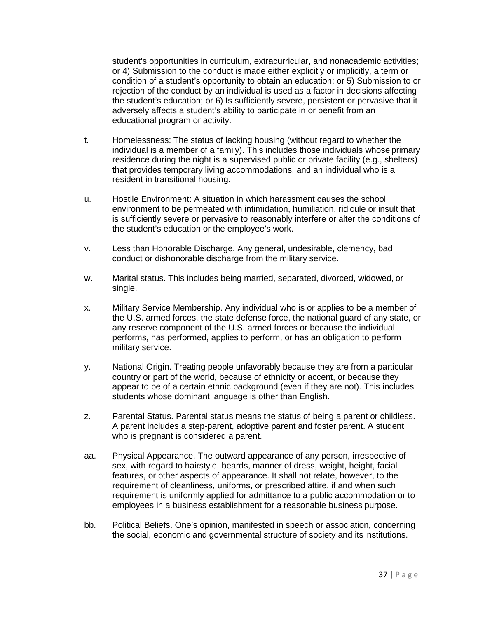student's opportunities in curriculum, extracurricular, and nonacademic activities; or 4) Submission to the conduct is made either explicitly or implicitly, a term or condition of a student's opportunity to obtain an education; or 5) Submission to or rejection of the conduct by an individual is used as a factor in decisions affecting the student's education; or 6) Is sufficiently severe, persistent or pervasive that it adversely affects a student's ability to participate in or benefit from an educational program or activity.

- t. Homelessness: The status of lacking housing (without regard to whether the individual is a member of a family). This includes those individuals whose primary residence during the night is a supervised public or private facility (e.g., shelters) that provides temporary living accommodations, and an individual who is a resident in transitional housing.
- u. Hostile Environment: A situation in which harassment causes the school environment to be permeated with intimidation, humiliation, ridicule or insult that is sufficiently severe or pervasive to reasonably interfere or alter the conditions of the student's education or the employee's work.
- v. Less than Honorable Discharge. Any general, undesirable, clemency, bad conduct or dishonorable discharge from the military service.
- w. Marital status. This includes being married, separated, divorced, widowed, or single.
- x. Military Service Membership. Any individual who is or applies to be a member of the U.S. armed forces, the state defense force, the national guard of any state, or any reserve component of the U.S. armed forces or because the individual performs, has performed, applies to perform, or has an obligation to perform military service.
- y. National Origin. Treating people unfavorably because they are from a particular country or part of the world, because of ethnicity or accent, or because they appear to be of a certain ethnic background (even if they are not). This includes students whose dominant language is other than English.
- z. Parental Status. Parental status means the status of being a parent or childless. A parent includes a step-parent, adoptive parent and foster parent. A student who is pregnant is considered a parent.
- aa. Physical Appearance. The outward appearance of any person, irrespective of sex, with regard to hairstyle, beards, manner of dress, weight, height, facial features, or other aspects of appearance. It shall not relate, however, to the requirement of cleanliness, uniforms, or prescribed attire, if and when such requirement is uniformly applied for admittance to a public accommodation or to employees in a business establishment for a reasonable business purpose.
- bb. Political Beliefs. One's opinion, manifested in speech or association, concerning the social, economic and governmental structure of society and its institutions.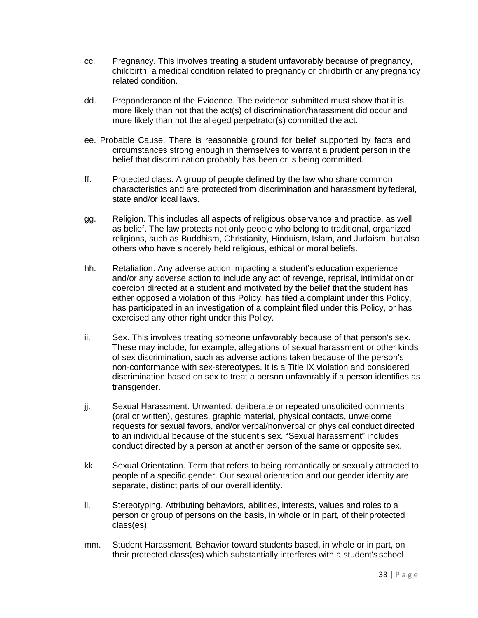- cc. Pregnancy. This involves treating a student unfavorably because of pregnancy, childbirth, a medical condition related to pregnancy or childbirth or any pregnancy related condition.
- dd. Preponderance of the Evidence. The evidence submitted must show that it is more likely than not that the act(s) of discrimination/harassment did occur and more likely than not the alleged perpetrator(s) committed the act.
- ee. Probable Cause. There is reasonable ground for belief supported by facts and circumstances strong enough in themselves to warrant a prudent person in the belief that discrimination probably has been or is being committed.
- ff. Protected class. A group of people defined by the law who share common characteristics and are protected from discrimination and harassment by federal, state and/or local laws.
- gg. Religion. This includes all aspects of religious observance and practice, as well as belief. The law protects not only people who belong to traditional, organized religions, such as Buddhism, Christianity, Hinduism, Islam, and Judaism, but also others who have sincerely held religious, ethical or moral beliefs.
- hh. Retaliation. Any adverse action impacting a student's education experience and/or any adverse action to include any act of revenge, reprisal, intimidation or coercion directed at a student and motivated by the belief that the student has either opposed a violation of this Policy, has filed a complaint under this Policy, has participated in an investigation of a complaint filed under this Policy, or has exercised any other right under this Policy.
- ii. Sex. This involves treating someone unfavorably because of that person's sex. These may include, for example, allegations of sexual harassment or other kinds of sex discrimination, such as adverse actions taken because of the person's non-conformance with sex-stereotypes. It is a Title IX violation and considered discrimination based on sex to treat a person unfavorably if a person identifies as transgender.
- jj. Sexual Harassment. Unwanted, deliberate or repeated unsolicited comments (oral or written), gestures, graphic material, physical contacts, unwelcome requests for sexual favors, and/or verbal/nonverbal or physical conduct directed to an individual because of the student's sex. "Sexual harassment" includes conduct directed by a person at another person of the same or opposite sex.
- kk. Sexual Orientation. Term that refers to being romantically or sexually attracted to people of a specific gender. Our sexual orientation and our gender identity are separate, distinct parts of our overall identity.
- ll. Stereotyping. Attributing behaviors, abilities, interests, values and roles to a person or group of persons on the basis, in whole or in part, of their protected class(es).
- mm. Student Harassment. Behavior toward students based, in whole or in part, on their protected class(es) which substantially interferes with a student's school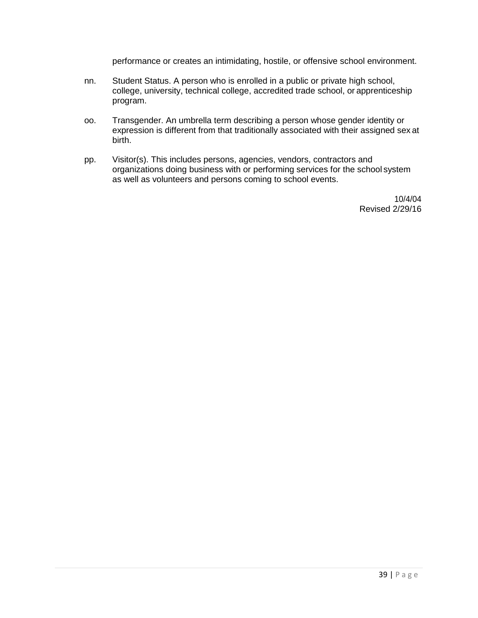performance or creates an intimidating, hostile, or offensive school environment.

- nn. Student Status. A person who is enrolled in a public or private high school, college, university, technical college, accredited trade school, or apprenticeship program.
- oo. Transgender. An umbrella term describing a person whose gender identity or expression is different from that traditionally associated with their assigned sex at birth.
- pp. Visitor(s). This includes persons, agencies, vendors, contractors and organizations doing business with or performing services for the school system as well as volunteers and persons coming to school events.

10/4/04 Revised 2/29/16